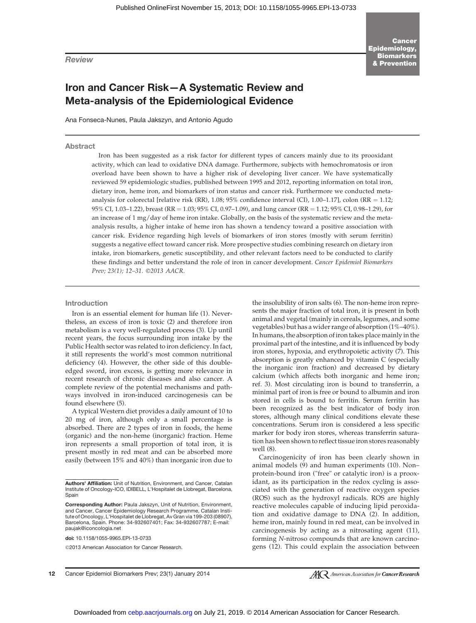Review

# Iron and Cancer Risk—A Systematic Review and Meta-analysis of the Epidemiological Evidence

Ana Fonseca-Nunes, Paula Jakszyn, and Antonio Agudo

#### Abstract

Iron has been suggested as a risk factor for different types of cancers mainly due to its prooxidant activity, which can lead to oxidative DNA damage. Furthermore, subjects with hemochromatosis or iron overload have been shown to have a higher risk of developing liver cancer. We have systematically reviewed 59 epidemiologic studies, published between 1995 and 2012, reporting information on total iron, dietary iron, heme iron, and biomarkers of iron status and cancer risk. Furthermore we conducted metaanalysis for colorectal [relative risk (RR), 1.08; 95% confidence interval (CI), 1.00–1.17], colon (RR = 1.12; 95% CI, 1.03–1.22), breast (RR = 1.03; 95% CI, 0.97–1.09), and lung cancer (RR = 1.12; 95% CI, 0.98–1.29), for an increase of 1 mg/day of heme iron intake. Globally, on the basis of the systematic review and the metaanalysis results, a higher intake of heme iron has shown a tendency toward a positive association with cancer risk. Evidence regarding high levels of biomarkers of iron stores (mostly with serum ferritin) suggests a negative effect toward cancer risk. More prospective studies combining research on dietary iron intake, iron biomarkers, genetic susceptibility, and other relevant factors need to be conducted to clarify these findings and better understand the role of iron in cancer development. Cancer Epidemiol Biomarkers Prev; 23(1); 12-31. ©2013 AACR.

#### Introduction

Iron is an essential element for human life (1). Nevertheless, an excess of iron is toxic (2) and therefore iron metabolism is a very well-regulated process (3). Up until recent years, the focus surrounding iron intake by the Public Health sector was related to iron deficiency. In fact, it still represents the world's most common nutritional deficiency (4). However, the other side of this doubleedged sword, iron excess, is getting more relevance in recent research of chronic diseases and also cancer. A complete review of the potential mechanisms and pathways involved in iron-induced carcinogenesis can be found elsewhere (5).

A typical Western diet provides a daily amount of 10 to 20 mg of iron, although only a small percentage is absorbed. There are 2 types of iron in foods, the heme (organic) and the non-heme (inorganic) fraction. Heme iron represents a small proportion of total iron, it is present mostly in red meat and can be absorbed more easily (between 15% and 40%) than inorganic iron due to

doi: 10.1158/1055-9965.EPI-13-0733

2013 American Association for Cancer Research.

the insolubility of iron salts (6). The non-heme iron represents the major fraction of total iron, it is present in both animal and vegetal (mainly in cereals, legumes, and some vegetables) but has a wider range of absorption (1%–40%). In humans, the absorption of iron takes place mainly in the proximal part of the intestine, and it is influenced by body iron stores, hypoxia, and erythropoietic activity (7). This absorption is greatly enhanced by vitamin C (especially the inorganic iron fraction) and decreased by dietary calcium (which affects both inorganic and heme iron; ref. 3). Most circulating iron is bound to transferrin, a minimal part of iron is free or bound to albumin and iron stored in cells is bound to ferritin. Serum ferritin has been recognized as the best indicator of body iron stores, although many clinical conditions elevate these concentrations. Serum iron is considered a less specific marker for body iron stores, whereas transferrin saturation has been shown to reflect tissue iron stores reasonably well (8).

Carcinogenicity of iron has been clearly shown in animal models (9) and human experiments (10). Non– protein-bound iron ("free" or catalytic iron) is a prooxidant, as its participation in the redox cycling is associated with the generation of reactive oxygen species (ROS) such as the hydroxyl radicals. ROS are highly reactive molecules capable of inducing lipid peroxidation and oxidative damage to DNA (2). In addition, heme iron, mainly found in red meat, can be involved in carcinogenesis by acting as a nitrosating agent (11), forming N-nitroso compounds that are known carcinogens (12). This could explain the association between

12 Cancer Epidemiol Biomarkers Prev; 23(1) January 2014

**AC** American Association for **Cancer Research** 

Authors' Affiliation: Unit of Nutrition, Environment, and Cancer, Catalan Institute of Oncology-ICO, IDIBELL, L'Hospitalet de Llobregat, Barcelona, **Spain** 

Corresponding Author: Paula Jakszyn, Unit of Nutrition, Environment, and Cancer, Cancer Epidemiology Research Programme, Catalan Institute of Oncology, L'Hospitalet de Llobregat, Av Gran via 199-203 (08907), Barcelona, Spain. Phone: 34-932607401; Fax: 34-932607787; E-mail: paujak@iconcologia.net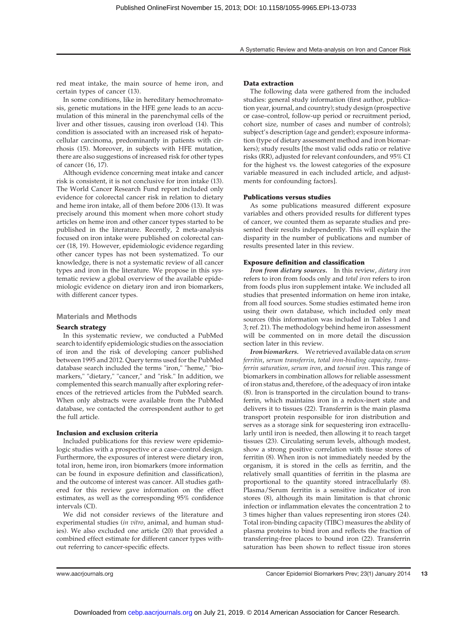red meat intake, the main source of heme iron, and certain types of cancer (13).

In some conditions, like in hereditary hemochromatosis, genetic mutations in the HFE gene leads to an accumulation of this mineral in the parenchymal cells of the liver and other tissues, causing iron overload (14). This condition is associated with an increased risk of hepatocellular carcinoma, predominantly in patients with cirrhosis (15). Moreover, in subjects with HFE mutation, there are also suggestions of increased risk for other types of cancer (16, 17).

Although evidence concerning meat intake and cancer risk is consistent, it is not conclusive for iron intake (13). The World Cancer Research Fund report included only evidence for colorectal cancer risk in relation to dietary and heme iron intake, all of them before 2006 (13). It was precisely around this moment when more cohort study articles on heme iron and other cancer types started to be published in the literature. Recently, 2 meta-analysis focused on iron intake were published on colorectal cancer (18, 19). However, epidemiologic evidence regarding other cancer types has not been systematized. To our knowledge, there is not a systematic review of all cancer types and iron in the literature. We propose in this systematic review a global overview of the available epidemiologic evidence on dietary iron and iron biomarkers, with different cancer types.

#### Materials and Methods

#### Search strategy

In this systematic review, we conducted a PubMed search to identify epidemiologic studies on the association of iron and the risk of developing cancer published between 1995 and 2012. Query terms used for the PubMed database search included the terms "iron," "heme," "biomarkers," "dietary," "cancer," and "risk." In addition, we complemented this search manually after exploring references of the retrieved articles from the PubMed search. When only abstracts were available from the PubMed database, we contacted the correspondent author to get the full article.

#### Inclusion and exclusion criteria

Included publications for this review were epidemiologic studies with a prospective or a case–control design. Furthermore, the exposures of interest were dietary iron, total iron, heme iron, iron biomarkers (more information can be found in exposure definition and classification), and the outcome of interest was cancer. All studies gathered for this review gave information on the effect estimates, as well as the corresponding 95% confidence intervals (CI).

We did not consider reviews of the literature and experimental studies (in vitro, animal, and human studies). We also excluded one article (20) that provided a combined effect estimate for different cancer types without referring to cancer-specific effects.

#### Data extraction

The following data were gathered from the included studies: general study information (first author, publication year, journal, and country); study design (prospective or case–control, follow-up period or recruitment period, cohort size, number of cases and number of controls); subject's description (age and gender); exposure information (type of dietary assessment method and iron biomarkers); study results [the most valid odds ratio or relative risks (RR), adjusted for relevant confounders, and 95% CI for the highest vs. the lowest categories of the exposure variable measured in each included article, and adjustments for confounding factors].

#### Publications versus studies

As some publications measured different exposure variables and others provided results for different types of cancer, we counted them as separate studies and presented their results independently. This will explain the disparity in the number of publications and number of results presented later in this review.

#### Exposure definition and classification

Iron from dietary sources. In this review, dietary iron refers to iron from foods only and total iron refers to iron from foods plus iron supplement intake. We included all studies that presented information on heme iron intake, from all food sources. Some studies estimated heme iron using their own database, which included only meat sources (this information was included in Tables 1 and 3; ref. 21). The methodology behind heme iron assessment will be commented on in more detail the discussion section later in this review.

Iron biomarkers. We retrieved available data on serum ferritin, serum transferrin, total iron-binding capacity, transferrin saturation, serum iron, and toenail iron. This range of biomarkers in combination allows for reliable assessment of iron status and, therefore, of the adequacy of iron intake (8). Iron is transported in the circulation bound to transferrin, which maintains iron in a redox-inert state and delivers it to tissues (22). Transferrin is the main plasma transport protein responsible for iron distribution and serves as a storage sink for sequestering iron extracellularly until iron is needed, then allowing it to reach target tissues (23). Circulating serum levels, although modest, show a strong positive correlation with tissue stores of ferritin (8). When iron is not immediately needed by the organism, it is stored in the cells as ferritin, and the relatively small quantities of ferritin in the plasma are proportional to the quantity stored intracellularly (8). Plasma/Serum ferritin is a sensitive indicator of iron stores (8), although its main limitation is that chronic infection or inflammation elevates the concentration 2 to 3 times higher than values representing iron stores (24). Total iron-binding capacity (TIBC) measures the ability of plasma proteins to bind iron and reflects the fraction of transferring-free places to bound iron (22). Transferrin saturation has been shown to reflect tissue iron stores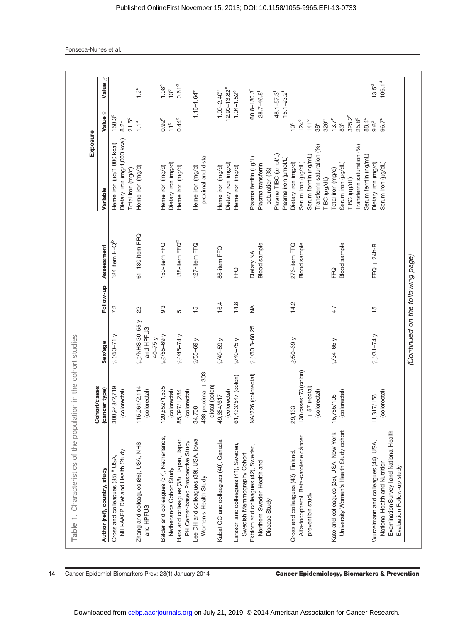| Table 1. Characteristics of the population                                                                                                      | in the cohort studies                                             |                                       |               |                                     |                                                                                                                   |                                                                                                   |                                         |
|-------------------------------------------------------------------------------------------------------------------------------------------------|-------------------------------------------------------------------|---------------------------------------|---------------|-------------------------------------|-------------------------------------------------------------------------------------------------------------------|---------------------------------------------------------------------------------------------------|-----------------------------------------|
| Author (ref), country, study                                                                                                                    | <b>Cohort/cases</b>                                               | Sex/age                               | Follow-up     | Assessment                          | Exposure<br>Variable                                                                                              | Value?                                                                                            |                                         |
| NIH-AARP Diet and Health Study<br>Cross and colleagues (35), <sup>a</sup> USA,                                                                  | 300,948/2,719<br>(cancer type)<br>(colorectal)                    | $450 - 71y$                           | 7.2           | 124 item FFQ <sup>b</sup>           | Dietary iron (mg/1,000 kcal)<br>Heme iron (µg/1,000 kcal)                                                         | 150.3°<br>$8.2^\circ$                                                                             |                                         |
| Zhang and colleagues (36), USA, NHS<br>and HPFUS                                                                                                | 115,061/2,114<br>(colorectal)                                     | $25-055$ y<br>and HPFUS<br>$40 - 75y$ | 22            | 61-130 item FFQ                     | Heme iron (mg/d)<br>Total iron (mg/d)                                                                             | $21.5^{\circ}$<br>$1.1^{\circ}$                                                                   | $1.2^{\circ}$                           |
| Balder and colleagues (37), Netherlands,<br>Netherlands Cohort Study                                                                            | 120,852/1,535<br>(colorectal)                                     | $43/55 - 69$ y                        | 9.3           | 150-item FFQ                        | Dietary iron (mg/d)<br>Heme iron (mg/d)                                                                           | $0.92^{\circ}$<br>11 <sup>c</sup>                                                                 | $1.08^\circ$<br>13 <sup>c</sup>         |
| Hara and colleagues (38), Japan, Japan<br>PH Center-based Prospective Study                                                                     | 85,097/1,284<br>(colorectal)                                      | $45 - 74$ y                           | 5             | 138-item FFQ <sup>b</sup>           | Heme iron (mg/d)                                                                                                  | $0.44^{d}$                                                                                        | 0.61 <sup>d</sup>                       |
| Lee DH and colleagues (39), USA, lowa<br>Women's Health Study                                                                                   | $438$ proximal $+303$<br>distal (colon)<br>34,708                 | $2/55 - 69$ y                         | $\frac{5}{1}$ | 127-item FFQ                        | proximal and distal<br>Heme iron (mg/d)                                                                           | $1.16 - 1.64$ <sup>e</sup>                                                                        |                                         |
| Kabat GC and colleagues (40), Canada                                                                                                            | (colorectal)<br>49,654/617                                        | $40 - 59y$                            | 16.4          | 86-item FFQ                         | Dietary iron (mg/d)<br>Heme iron (mg/d)                                                                           | $12.90 - 13.82$ <sup>e</sup><br>$1.99 - 2.40^{\circ}$                                             |                                         |
| Larsson and colleagues (41), Sweden,<br>Swedish Mammography Cohort                                                                              | 61,433/547 (colon)                                                | $40 - 75y$                            | 14.8          | FFQ                                 | Heme iron (mg/d)                                                                                                  | $1.04 - 1.52^e$                                                                                   |                                         |
| Ekblom and colleagues (42), Sweden,<br>Northern Sweden Health and<br>Disease Study                                                              | 6 (colorectal)<br><b>NA/22</b>                                    | $250.3 - 60.25$                       | $\frac{4}{2}$ | Blood sample<br>Dietary NA          | Plasma TIBC (umol/L)<br>Plasma ferritin (ug/L)<br>Plasma iron (umol/L)<br>Plasma transferrin<br>saturation (%)    | 60.8-180.3<br>$15.1 - 23.2$ <sup>f</sup><br>28.7-46.8<br>48.1-57.3                                |                                         |
| Alfa-tocopherol, Beta-carotene cáncer<br>Cross and colleagues (43), Finland,<br>prevention study                                                | 130 cases: 73 (colon)<br>$+57$ (rectal)<br>(colorectal)<br>29,133 | $\sqrt[3]{50}$ -69 y                  | 14.2          | <b>Blood</b> sample<br>276-item FFQ | Transferrin saturation (%)<br>Serum ferritin (ng/mL)<br>Serum iron (ug/dL)<br>Dietary iron (mg/d)<br>TIBC (µg/dL) | $141$ <sup>c</sup><br>326 <sup>c</sup><br>$124^{\circ}$<br>$38^\circ$<br>$19^{\circ}$             |                                         |
| University Women's Health Study cohort<br>Kato and colleagues (25), USA, New York                                                               | (colorectal)<br>15,785/105                                        | $434 - 65y$                           | 4.7           | Blood sample<br>FEQ                 | Transferrin saturation (%)<br>Serum ferritin (ng/mL)<br>Serum iron (ug/dL)<br>Total iron (mg/d)<br>TIBC (µg/dL)   | 325.2 <sup>d</sup><br>25.8 <sup>d</sup><br>88.4 <sup>d</sup><br>$13.7^{\circ}$<br>83 <sup>d</sup> |                                         |
| Examination Survey I and National Health<br>Wurzelmann and colleagues (44), USA,<br>National Health and Nutrition<br>Evaluation Follow-up study | (colorectal)<br>11,317/156                                        | $25/31 - 74$ y                        | $\frac{5}{1}$ | $FFQ + 24h - R$                     | Dietary iron (mg/d)<br>Serum iron (ug/dL)                                                                         | 96.7 <sup>d</sup><br>$9.6^d$                                                                      | 106.1 <sup>d</sup><br>13.5 <sup>d</sup> |
|                                                                                                                                                 |                                                                   | (Continued on the following page)     |               |                                     |                                                                                                                   |                                                                                                   |                                         |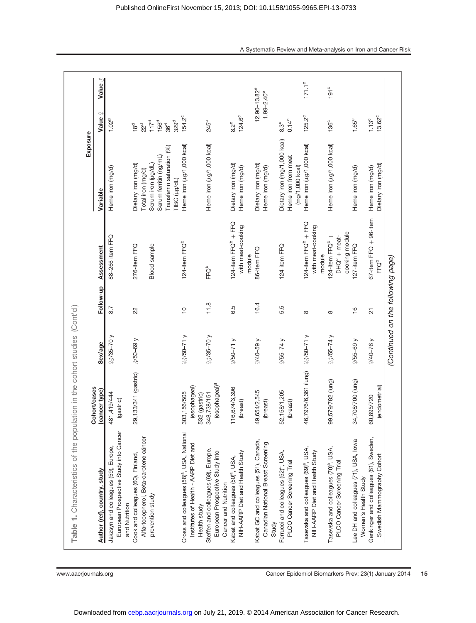| Table 1. Characteristics of the population in the cohort studies (Cont'd)                                      | Cohort/cases                                 |                                   |                      |                                                                    | Exposure                                                                                                                               |                                                                                                                   |                 |
|----------------------------------------------------------------------------------------------------------------|----------------------------------------------|-----------------------------------|----------------------|--------------------------------------------------------------------|----------------------------------------------------------------------------------------------------------------------------------------|-------------------------------------------------------------------------------------------------------------------|-----------------|
| Author (ref), country, study                                                                                   | (cancer type)                                | Sex/age                           | Follow-up            | Assessment                                                         | Variable                                                                                                                               | $\circlearrowright$<br><b>Value</b>                                                                               | Value 3         |
| European Prospective Study into Cancer<br>Jakzsyn and colleagues (59), Europe,<br>and Nutrition                | 481,419/444<br>(gastric)                     | $23/35 - 70y$                     | 8.7                  | 88-266 item FFQ                                                    | Heme iron (mg/d)                                                                                                                       | 1.029                                                                                                             |                 |
| Alfa-tocopherol, Beta-carotene cáncer<br>Cook and colleagues (60), Finland,<br>prevention study                | 29,133/341 (gastric)                         | $\sqrt[3]{50}$ -69 y              | 22                   | 276-item FFQ<br><b>Blood</b> sample                                | Transferrin saturation (%)<br>Serum ferritin (ng/mL)<br>Serum iron (ug/dL)<br>Dietary iron (mg/d)<br>Total iron (mg/d)<br>TIBC (µg/dL) | 156 <sup>d</sup><br>329 <sup>d</sup><br>117 <sup>d</sup><br>36 <sup>d</sup><br>22 <sup>d</sup><br>18 <sup>d</sup> |                 |
| Cross and colleagues (58) <sup>ª</sup> , USA, National<br>Institutes of Health - AARP Diet and<br>Health study | (esophageal)<br>303,156/505<br>532 (gastric) | $23/50 - 71$ y                    | $\frac{1}{\sqrt{2}}$ | 124-item FFQ <sup>b</sup>                                          | Heme iron (µg/1,000 kcal)                                                                                                              | 154.2 <sup>c</sup>                                                                                                |                 |
| Steffen and colleagues (68), Europe,<br>European Prospective Study into<br>Cancer and Nutrition                | esophageal) <sup>9</sup><br>348,738/151      | $23/35 - 70$ y                    | 11.8                 | FFQ <sup>b</sup>                                                   | Heme iron (µg/1,000 kcal)                                                                                                              | 245 <sup>c</sup>                                                                                                  |                 |
| NIH-AARP Diet and Health Study<br>Kabat and colleagues (50) <sup>ª</sup> , USA,                                | 116,674/3,396<br>(breast)                    | $450 - 71y$                       | 6.5                  | 124-item $FQ^b + FQ$<br>with meat-cooking<br>module                | Dietary iron (mg/d)<br>Heme iron (mg/d)                                                                                                | 124.6°<br>$8.2^{\circ}$                                                                                           |                 |
| Kabat GC and colleagues (51), Canada,<br>Canadian National Breast Screening<br>Study                           | 545<br>(breast)<br>49,654/2                  | $40 - 59y$                        | 16.4                 | 86-item FFQ                                                        | Dietary iron (mg/d)<br>Heme iron (mg/d)                                                                                                | $12.90 - 13.82^e$<br>$1.99 - 2.40^{\circ}$                                                                        |                 |
| Ferrucci and colleagues (52) <sup>ª</sup> , USA,<br>PLCO Cancer Screening Trial                                | 52, 158/1, 205<br>(breast)                   | $2/55 - 74y$                      | 5.5                  | 124-item FFQ                                                       | Dietary iron (mg/1,000 kcal)<br>Heme iron from meat<br>(mg/1,000 kcal)                                                                 | $0.14^{\circ}$<br>$8.3^\circ$                                                                                     |                 |
| Tasevska and colleagues (69) <sup>ª</sup> , USA,<br>NIH-AARP Diet and Health Study                             | 46,7976/6,361 (lung)                         | $250 - 71y$                       | $\infty$             | 124-item $FQ^b + FQ$<br>with meat-cooking<br>module                | Heme iron (µg/1,000 kcal)                                                                                                              | $125.2^{\circ}$                                                                                                   | $171.1^{\circ}$ |
| Tasevska and colleagues (70) <sup>ª</sup> , USA,<br>PLCO Cancer Screening Trial                                | 99,579/782 (lung)                            | $23/55 - 74$ y                    | ${}^{\circ}$         | cooking module<br>$124$ -item FFQ <sup>b</sup> +<br>$DHQc + meat-$ | Heme iron (µg/1,000 kcal)                                                                                                              | 136 <sup>c</sup>                                                                                                  | $191^c$         |
| Lee DH and colleagues (71), USA, lowa<br>Women's Health Study                                                  | 34,708/700 (lung)                            | $455-69y$                         | $\frac{6}{1}$        | 127-item FFQ                                                       | Heme iron (mg/d)                                                                                                                       | $1.65^c$                                                                                                          |                 |
| Genkinger and colleagues (81), Sweden,<br>Swedish Mammography Cohort                                           | (endometrial)<br>60,895/720                  | $640 - 76$                        | $\overline{c}$       | $67$ -item FFQ $+$ 96-item<br>$\mathsf{FFQ}^\mathsf{b}$            | Dietary iron (mg/d)<br>Heme iron (mg/d)                                                                                                | 13.62°<br>$1.13^{\circ}$                                                                                          |                 |
|                                                                                                                |                                              | (Continued on the following page) |                      |                                                                    |                                                                                                                                        |                                                                                                                   |                 |

www.aacrjournals.org extending the Cancer Epidemiol Biomarkers Prev; 23(1) January 2014 15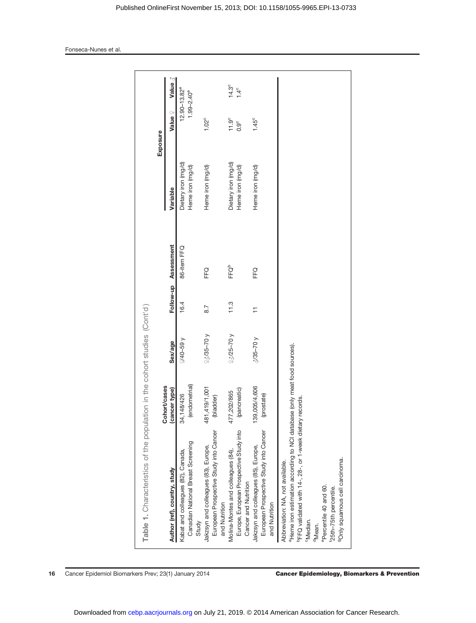| $14.3^{\circ}$<br>$1.4^{\circ}$<br>$12.90 - 13.82^e$<br>$1.99 - 2.40^{\circ}$<br>Value?<br>$11.9^\circ$<br>$1.02^{\circ}$<br>$1.45^{\circ}$<br>$0.9^{\circ}$<br>Exposure<br>Dietary iron (mg/d)<br>Dietary iron (mg/d)<br>Heme iron (mg/d)<br>Heme iron (mg/d)<br>Heme iron (mg/d)<br>Heme iron (mg/d)<br>Variable<br>Assessment<br>86-item FFQ<br>FFQ <sup>b</sup><br>FFQ<br>FFQ<br>Follow-up<br>16.4<br>11.3<br>8.7<br>$\overline{1}$<br>$23/25 - 70y$<br>$23/35 - 70y$<br>$3/35 - 70y$<br>$69 - 01/3$<br>Sex/age<br><sup>a</sup> Heme iron estimation according to NCI database (only meat food sources).<br>(endometrial)<br>Cohort/cases<br>139,005/4,606<br>481,419/1,001<br>(pancreatic)<br>(cancer type)<br>477,202/865<br>(prostate)<br>34,148/426<br>(bladder)<br>PFFQ validated with 14-, 28-, or 1-week dietary records.<br>European Prospective Study into Cancer<br>Europe, European Prospective Study into<br>European Prospective Study into Cancer<br>Canadian National Breast Screening<br>Jakzsyn and colleagues (85), Europe,<br>Jakzsyn and colleagues (83), Europe,<br>Molina-Montes and colleagues (84),<br>Kabat and colleagues (82), Canada,<br><sup>9</sup> Only squamous cell carcinoma.<br>Abbreviation: NA, not available.<br>Author (ref), country, study<br>Cancer and Nutrition<br><sup>e</sup> Percentile 40 and 60.<br>f25th-75th percentile.<br>and Nutrition<br>and Nutrition<br><sup>c</sup> Median.<br>Study<br><sup>d</sup> Mean. | Table 1. Characteristics of the population in the cohort studies (Cont'd) |  |  |  |  |
|--------------------------------------------------------------------------------------------------------------------------------------------------------------------------------------------------------------------------------------------------------------------------------------------------------------------------------------------------------------------------------------------------------------------------------------------------------------------------------------------------------------------------------------------------------------------------------------------------------------------------------------------------------------------------------------------------------------------------------------------------------------------------------------------------------------------------------------------------------------------------------------------------------------------------------------------------------------------------------------------------------------------------------------------------------------------------------------------------------------------------------------------------------------------------------------------------------------------------------------------------------------------------------------------------------------------------------------------------------------------------------------------------------------------------------------------------------------------------|---------------------------------------------------------------------------|--|--|--|--|
|                                                                                                                                                                                                                                                                                                                                                                                                                                                                                                                                                                                                                                                                                                                                                                                                                                                                                                                                                                                                                                                                                                                                                                                                                                                                                                                                                                                                                                                                          |                                                                           |  |  |  |  |
|                                                                                                                                                                                                                                                                                                                                                                                                                                                                                                                                                                                                                                                                                                                                                                                                                                                                                                                                                                                                                                                                                                                                                                                                                                                                                                                                                                                                                                                                          |                                                                           |  |  |  |  |
|                                                                                                                                                                                                                                                                                                                                                                                                                                                                                                                                                                                                                                                                                                                                                                                                                                                                                                                                                                                                                                                                                                                                                                                                                                                                                                                                                                                                                                                                          |                                                                           |  |  |  |  |
|                                                                                                                                                                                                                                                                                                                                                                                                                                                                                                                                                                                                                                                                                                                                                                                                                                                                                                                                                                                                                                                                                                                                                                                                                                                                                                                                                                                                                                                                          |                                                                           |  |  |  |  |
|                                                                                                                                                                                                                                                                                                                                                                                                                                                                                                                                                                                                                                                                                                                                                                                                                                                                                                                                                                                                                                                                                                                                                                                                                                                                                                                                                                                                                                                                          |                                                                           |  |  |  |  |
|                                                                                                                                                                                                                                                                                                                                                                                                                                                                                                                                                                                                                                                                                                                                                                                                                                                                                                                                                                                                                                                                                                                                                                                                                                                                                                                                                                                                                                                                          |                                                                           |  |  |  |  |
|                                                                                                                                                                                                                                                                                                                                                                                                                                                                                                                                                                                                                                                                                                                                                                                                                                                                                                                                                                                                                                                                                                                                                                                                                                                                                                                                                                                                                                                                          |                                                                           |  |  |  |  |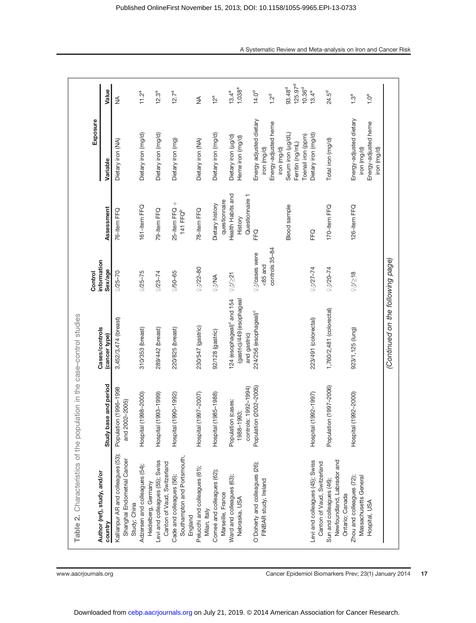| Table 2. Characteristics of the population in the case-control studies            |                                                          |                                                                                    |                                                         |                                                 |                                                                               |                                                          |
|-----------------------------------------------------------------------------------|----------------------------------------------------------|------------------------------------------------------------------------------------|---------------------------------------------------------|-------------------------------------------------|-------------------------------------------------------------------------------|----------------------------------------------------------|
| Author (ref), study, and/or                                                       |                                                          | Cases/controls                                                                     | information<br>Control                                  |                                                 | Exposure                                                                      |                                                          |
| country                                                                           | Study base and period                                    | (cancer type)                                                                      | Sex/age                                                 | Assessment                                      | Variable                                                                      | Value                                                    |
| Kallianpur AR and colleagues (53);<br>Shanghai Endometrial Cancer<br>Study; China | Population (1996-1998<br>and 2002-2005)                  | 3,452/3,474 (breast)                                                               | $2/25 - 70$                                             | 76-item FFQ                                     | Dietary iron (NA)                                                             | $\lessgtr$                                               |
| Adzersen and colleagues (54);<br>Heidelberg, Germany                              | Hospital (1998-2000)                                     | 310/353 (breast)                                                                   | $2/25 - 75$                                             | 161-item FFQ                                    | Dietary iron (mg/d)                                                           | $11.2^a$                                                 |
| Levi and colleagues (55); Swiss<br>Canton of Vaud, Switzerland                    | Hospital (1993-1999)                                     | 289/442 (breast)                                                                   | $223 - 74$                                              | 79-item FFQ                                     | Dietary iron (mg/d)                                                           | $12.3^{\rm a}$                                           |
| Southampton and Portsmouth,<br>Cade and colleagues (56);<br>England               | Hospital (1990-1992)                                     | 220/825 (breast)                                                                   | $2/50 - 65$                                             | 25-item FFQ $+$<br>141 FFQ <sup>b</sup>         | Dietary iron (mg)                                                             | $12.7^a$                                                 |
| Pelucchi and colleagues (61);<br>Milan, Italy                                     | Hospital (1997-2007)                                     | 230/547 (gastric)                                                                  | $25/22 - 80$                                            | 78-item FFQ                                     | Dietary iron (NA)                                                             | ≸                                                        |
| Corneé and colleagues (62);<br>Marseille, France                                  | Hospital (1985-1988)                                     | 92/128 (gastric)                                                                   | AM/22                                                   | questionnaire<br>Dietary history                | Dietary iron (mg/d)                                                           | 12 <sup>a</sup>                                          |
| Ward and colleagues (63);<br>Nebraska, USA                                        | controls: 1992-1994)<br>Population (cases:<br>1988-1993; | 124 (esophageal) <sup>c</sup> and 154<br>(gastric)/449 (esophageal<br>and gastric) | 23/21                                                   | Health Habits and<br>Questionnaire 1<br>History | Dietary iron (ug/d)<br>Heme iron (mg/d)                                       | $1,038^{a}$<br>$13.4^a$                                  |
| O'Doherty and colleagues (26);<br>FINBAR study, Ireland                           | Population (2002-2005)                                   | 224/256 (esophageal) <sup>c</sup>                                                  | controls 35-84<br><sup>2</sup> 3/cases were<br>$85$ and | FFQ                                             | Energy adjusted dietary<br>Energy-adjusted heme<br>iron (mg/d)                | 14.0 <sup>d</sup><br>12 <sup>d</sup>                     |
|                                                                                   |                                                          |                                                                                    |                                                         | <b>Blood</b> sample                             | Serum iron (ug/dL)<br>Toenail iron (ppm)<br>Ferritin (ng/mL)<br>iron (mg/d)   | 125.97 <sup>d</sup><br>93.48 <sup>d</sup><br>$10.36^{d}$ |
| Levi and colleagues (45); Swiss<br>Canton of Vaud, Switzerland                    | Hospital (1992-1997)                                     | 223/491 (colorectal)                                                               | $2/27 - 74$                                             | FFQ                                             | Dietary iron (mg/d)                                                           | $13.4^a$                                                 |
| Newfoundland, Labrador and<br>Sun and colleagues (46);<br>Ontario; Canada         | Population (1997-2006)                                   | 1,760/2,481 (colorectal)                                                           | $26/20 - 74$                                            | 170-item FFQ                                    | Total iron (mg/d)                                                             | 24.5 <sup>d</sup>                                        |
| Zhou and colleagues (72);<br>Massachusetts General<br>Hospital, USA               | Hospital (1992-2000)                                     | 923/1,125 (lung)                                                                   | 25/218                                                  | 126-item FFQ                                    | Energy-adjusted dietary<br>Energy-adjusted heme<br>iron (mg/d)<br>iron (mg/d) | $1.3^a$<br>1.0 <sup>a</sup>                              |
|                                                                                   |                                                          | (Continued on the following page)                                                  |                                                         |                                                 |                                                                               |                                                          |

www.aacrjournals.org extending the Cancer Epidemiol Biomarkers Prev; 23(1) January 2014 17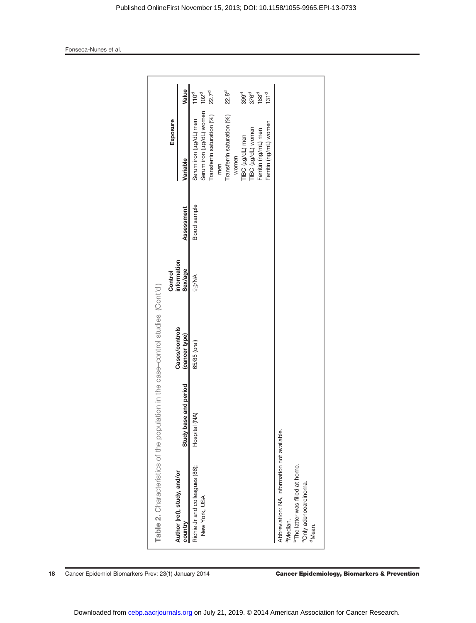| Table 2. Characteristics of the population      |                       | in the case-control studies (Cont'd) |                        |                     |                                                    |                                      |
|-------------------------------------------------|-----------------------|--------------------------------------|------------------------|---------------------|----------------------------------------------------|--------------------------------------|
| Author (ref), study, and/or                     |                       | Cases/controls                       | information<br>Control |                     | Exposure                                           |                                      |
| country                                         | Study base and period | (cancer type)                        | Sex/age                | Assessment          | Variable                                           | Value                                |
| Richie Jr and colleagues (86);<br>New York, USA | Hospital (NA)         | 65/85 (oral)                         | AM/22                  | <b>Blood</b> sample | Serum iron (µg/dL) women<br>Serum iron (ug/dL) men | 110 <sup>d</sup><br>102 <sup>d</sup> |
|                                                 |                       |                                      |                        |                     | Transferrin saturation (%)                         | 22.7 <sup>d</sup>                    |
|                                                 |                       |                                      |                        |                     | Transferrin saturation (%)<br>men                  | 22.8 <sup>d</sup>                    |
|                                                 |                       |                                      |                        |                     | women                                              |                                      |
|                                                 |                       |                                      |                        |                     | TIBC (ug/dL) men                                   | 399 <sup>d</sup>                     |
|                                                 |                       |                                      |                        |                     | TIBC (µg/dL) women                                 | 376 <sup>d</sup>                     |
|                                                 |                       |                                      |                        |                     | Ferritin (ng/mL) men                               | 188 <sup>d</sup>                     |
|                                                 |                       |                                      |                        |                     | Ferritin (ng/mL) women                             | 131 <sup>d</sup>                     |
| Abbreviation: NA, information not available.    |                       |                                      |                        |                     |                                                    |                                      |
| <sup>a</sup> Median.                            |                       |                                      |                        |                     |                                                    |                                      |
| <sup>b</sup> The latter was filled at home.     |                       |                                      |                        |                     |                                                    |                                      |
| <sup>c</sup> Only adenocarcinoma.               |                       |                                      |                        |                     |                                                    |                                      |
| <sup>d</sup> Mean.                              |                       |                                      |                        |                     |                                                    |                                      |
|                                                 |                       |                                      |                        |                     |                                                    |                                      |
|                                                 |                       |                                      |                        |                     |                                                    |                                      |

Downloaded from [cebp.aacrjournals.org o](http://cebp.aacrjournals.org/)n July 21, 2019. © 2014 American Association for Cancer Research.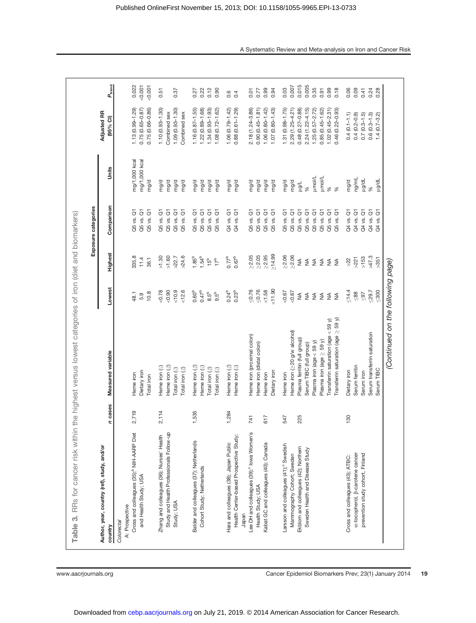| Table 3. RRs for cancer risk within the highest versus lowest categories of iron (diet and biomarkers) |         |                                          |                         |                   | Exposure categories               |                |                                |                 |
|--------------------------------------------------------------------------------------------------------|---------|------------------------------------------|-------------------------|-------------------|-----------------------------------|----------------|--------------------------------|-----------------|
| Author, year, country (ref), study, and/or<br>country                                                  | n cases | Measured variable                        | Lowest                  | Highest           | Comparison                        | Units          | <b>Adjusted RR</b><br>(95% CI) | $P_{\rm trend}$ |
| A: Prospective<br>Colorectal                                                                           |         |                                          |                         |                   |                                   |                |                                |                 |
| Cross and colleagues (35); <sup>a</sup> NIH-AARP Diet                                                  | 2,719   | Heme iron                                | 48.1                    | 335.8             | $\overline{\circ}$<br>Q5 vs.      | mg/1,000 kcal  | $1.13(0.99 - 1.29)$            | 0.022           |
| and Health Study; USA                                                                                  |         | Dietary iron                             | 5.9                     | 11.4              | Q5 vs. Q1                         | mg/1,000 kcal  | 0.75 (0.65-0.87)               | 0.001           |
|                                                                                                        |         | Total iron                               | 10.8                    | 36.1              | $\overline{G}$<br>Q5 vs.          | mg/d           | 0.75 (0.66-0.86)               | 0.001           |
| Zhang and colleagues (36); Nurses' Health                                                              | 2,114   | Heme iron (2)                            | 0.78                    | >1.30             | $\rm \bar{\sigma}$<br>Q5 vs.      | mg/d           | $1.10(0.93 - 1.30)$            | 0.51            |
| Study and Health Professionals Follow-up                                                               |         | Heme iron $\langle \mathcal{J} \rangle$  | $-0.90$                 | >1.60             | $\overline{\circ}$<br>Q5 vs.      | mg/d           | Combined sex                   |                 |
| Study; USA                                                                                             |         | Total iron (2)                           | < 10.9                  | >22.7             | $\overline{\circ}$<br>Q5 vs.      | mg/d           | $1.09(0.93 - 1.30)$            | 0.37            |
|                                                                                                        |         | Total iron $\langle \mathcal{J} \rangle$ | 12.6                    | >24.6             | $\overline{\sigma}$<br>Q5 vs.     | mg/d           | Combined sex                   |                 |
| Balder and colleagues (37); Netherlands                                                                | 1,535   | Heme iron (3)                            | 0.60 <sup>b</sup>       | 1.85 <sup>b</sup> | $\bar{\sigma}$<br>Q5 vs.          | mg/d           | $1.16(0.87 - 1.55)$            | 0.27            |
| Cohort Study; Netherlands                                                                              |         | Heme iron (2)                            | $0.47^{b}$              | 1.54 <sup>b</sup> | $\overline{\mathrm{o}}$<br>Q5 vs. | mg/d           | $1.22(0.89 - 1.68)$            | 0.22            |
|                                                                                                        |         | Total iron $\langle \mathcal{J} \rangle$ | $8.5^{b}$               | 15 <sup>b</sup>   | $\overline{\circ}$<br>Q5 vs.      | mg/d           | $1.34(0.93 - 1.93)$            | 0.12            |
|                                                                                                        |         | Total iron (2)                           | $9.5^{b}$               | 17 <sup>b</sup>   | $\overline{c}$<br>Q5 vs.          | mg/d           | $1.08(0.72 - 1.62)$            | 0.90            |
| Hara and colleagues (38); Japan Public                                                                 | 1,284   | Heme iron $\langle \delta \rangle$       | $0.24^{b}$              | $0.77^{b}$        | $\overline{\circ}$<br>Q4 vs.      | mg/d           | $1.06(0.79 - 1.42)$            | 0.6             |
| Health Center-based Prospective Study;<br>Japan                                                        |         | Heme iron (2)                            | 0.23 <sup>b</sup>       | $0.67^{b}$        | $\overline{\sigma}$<br>Q4 vs.     | mg/d           | $0.88(0.61 - 1.29)$            | 0.4             |
| Lee DH and colleagues (39); <sup>c</sup> lowa Women's                                                  | 741     | Heme iron (proximal colon)               | $\leq 0.76$             | >2.05             | ō<br>Q5 vs.                       | mg/d           | 2.18 (1.24-3.86)               | 0.01            |
| Health Study; USA                                                                                      |         | Heme iron (distal colon)                 | $\leq 0.76$             | >2.05             | $\overline{\circ}$<br>Q5 vs.      | mg/d           | $0.90(0.45 - 1.81)$            | 0.77            |
| Kabat GC and colleagues (40); Canada                                                                   | 617     | Heme iron                                | 1.58                    | >2.95             | $\overline{\circ}$<br>Q5 vs.      | mg/d           | $1.06(0.80 - 1.42)$            | 0.99            |
|                                                                                                        |         | Dietary iron                             | 1.90                    | $\geq 14.99$      | $\overline{\circ}$<br>Q5 vs.      | mg/d           | $1.07(0.80 - 1.43)$            | 0.94            |
| Larsson and colleagues (41); <sup>c</sup> Swedish                                                      | 547     | Heme iron                                | 50.67                   | >2.06             | $\overline{\texttt{o}}$<br>Q5 vs. | mg/d           | $(0.98 - 1.75)$<br>1.31        | 0.03            |
| Mammography Cohort; Sweden                                                                             |         | Heme iron (>20 g/w alcohol)              | 50.67                   | $\geq 2.06$       | $\overline{c}$<br>Q5 vs.          | mg/d           | $2.29(1.25 - 4.21)$            | 0.007           |
| Ekblom and colleagues (42); Northern                                                                   | 225     | Plasma ferritin (full group)             | $\lessgtr$              | $\lessgtr$        | $\overline{\circ}$<br>Q5 vs.      | T/Bri          | 0.48 (0.27-0.88)               | 0.015           |
| Sweden Health and Disease Study                                                                        |         | Serum TIBC (full group)                  | $\stackrel{\leq}{\geq}$ | $\lessgtr$        | $\overline{G}$<br>Q5 vs.          | $\aleph$       | $2.24(1.22 - 4.15)$            | 0.005           |
|                                                                                                        |         | Plasma iron (age $<$ 59 y)               | $\lessgtr$              | $\lessgtr$        | $\overline{c}$<br>Q5 vs.          | umol/L         | $1.25(0.57 - 2.72)$            | 0.35            |
|                                                                                                        |         | Plasma iron (age $\geq$ 59 y)            | $\frac{1}{2}$           | $\lessgtr$        | $\overline{c}$<br>Q5 vs.          | <b>Limol/L</b> | $0.85(0.45 - 1.62)$            | 0.91            |
|                                                                                                        |         | Transferrin saturation (age $<$ 59 y)    | $\lessgtr$              | $\lessgtr$        | $\overline{\circ}$<br>Q5 vs.      | $\%$           | $1.02(0.45 - 2.31)$            | 0.99            |
|                                                                                                        |         | Transferrin saturation (age $\geq$ 59 y) | $\lessgtr$              | $\leq$            | $\overline{\circ}$<br>Q5 vs.      | $\aleph$       | 0.46 (0.22-0.93)               | 0.18            |
| Cross and colleagues (43); ATBC:                                                                       | 130     | Dietary iron                             | $\leq 14.4$             | >22               | $\overline{\circ}$<br>Q4 vs.      | mg/d           | $0.4(0.1 - 1.1)$               | 0.06            |
| a-tocopherol, B-carotene cancer                                                                        |         | Serum ferritin                           | $\leq 88$               | $>22$ 1           | $\overline{G}$<br>Q4 vs.          | ng/mL          | $0.4(0.2 - 0.9)$               | 0.09            |
| prevention study cohort, Finland                                                                       |         | Serum iron                               | $\leq 97$               | $>153$            | $\overline{\circ}$<br>Q4 vs.      | ug/dL          | $0.7(0.3 - 1.5)$               | 0.41            |
|                                                                                                        |         | Serum transferrin saturation             | ${}_{529.7}$            | >47.3             | $\overline{\circ}$<br>Q4 vs.      | $\aleph$       | $0.6(0.3 - 1.3)$               | 0.24            |
|                                                                                                        |         | Serum TIBC                               | $\leqslant 300$         | >351              | $\overline{\circ}$<br>Q4 vs.      | Ho/6rl         | $1.4(0.7 - 3.2)$               | 0.28            |
|                                                                                                        |         | (Continued on the following page)        |                         |                   |                                   |                |                                |                 |
|                                                                                                        |         |                                          |                         |                   |                                   |                |                                |                 |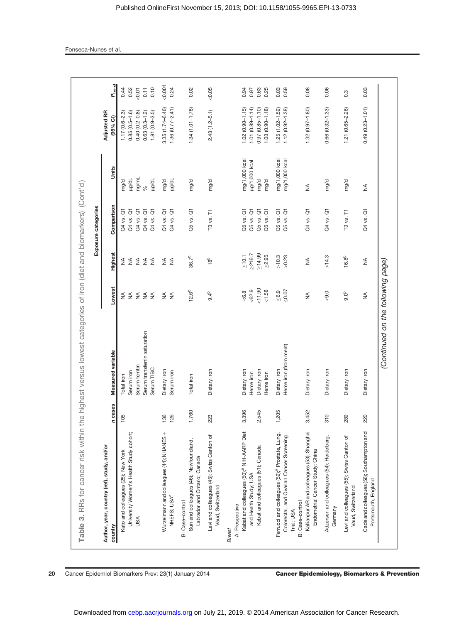|                                                                                                                                                                                                                           |                |                                                                                          |                                                                |                                          | Exposure categories                                                                    |                                                            |                                                                                                     |                                       |
|---------------------------------------------------------------------------------------------------------------------------------------------------------------------------------------------------------------------------|----------------|------------------------------------------------------------------------------------------|----------------------------------------------------------------|------------------------------------------|----------------------------------------------------------------------------------------|------------------------------------------------------------|-----------------------------------------------------------------------------------------------------|---------------------------------------|
| Author, year, country (ref), study, and/or<br>country                                                                                                                                                                     | n cases        | Measured variable                                                                        | Lowest                                                         | Highest                                  | Comparison                                                                             | Units                                                      | <b>Adjusted RR</b><br>(95% CI)                                                                      | $P_{\mathrm{tend}}$                   |
| University Women's Health Study cohort;<br>Kato and colleagues (25); New York<br>USA                                                                                                                                      | 105            | Serum transferrin saturation<br>Serum ferritin<br>Serum TIBC<br>Serum iron<br>Total iron | $\frac{4}{2}$<br>$\frac{4}{2}$<br>$rac{4}{5}$ $rac{4}{5}$<br>₹ | $\lessgtr$<br>$\S$ $\S$<br>≨ ≨           | Q4 vs. Q1<br>Q4 vs. Q1<br>Q4 vs. Q1<br>Q4 vs. Q1<br>Q4 vs. Q1                          | ng/mL<br><b>Ho/bri</b><br><b>Ho/on</b><br>mg/d<br>$\aleph$ | $0.40(0.2 - 0.8)$<br>$0.63(0.3 - 1.2)$<br>$1.81(0.9 - 3.5)$<br>$0.85(0.5 - 1.6)$<br>$1.17(0.6-2.3)$ | 0.52<br>0.10<br>0.44<br>0.11<br>50.07 |
| Wurzelmann and colleagues (44); NHANES +<br>NHEFS; USA <sup>C</sup>                                                                                                                                                       | 126<br>136     | Dietary iron<br>Serum iron                                                               | $\lessgtr$<br>$\leq$                                           | $\lessgtr$<br>$\leq$                     | $\overline{\sigma}$<br>$\overline{G}$<br>Q4 vs.<br>Q4 vs.                              | <b>Ho/orl</b><br>mg/d                                      | 3.35 (1.74-6.46)<br>$1.36(0.77 - 2.41)$                                                             | 0.001<br>0.24                         |
| Sun and colleagues (46); Newfoundland,<br>Labrador and Ontario; Canada<br>B: Case-control                                                                                                                                 | 1,760          | Total iron                                                                               | $12.6^{b}$                                                     | $36.7^{b}$                               | Q5 vs. Q1                                                                              | mg/d                                                       | $1.34(1.01 - 1.78)$                                                                                 | 0.02                                  |
| Levi and colleagues (45); Swiss Canton of<br>Vaud, Switzerland                                                                                                                                                            | 223            | Dietary iron                                                                             | 9.4 <sup>b</sup>                                               | $18^{b}$                                 | T3 vs. T1                                                                              | mg/d                                                       | $2.43(1.2 - 5.1)$                                                                                   | 0.05                                  |
| Kabat and colleagues (50); <sup>a</sup> NIH-AARP Diet<br>Kabat and colleagues (51); Canada<br>and Health Study; USA<br>A: Prospective<br><b>Breast</b>                                                                    | 3,396<br>2,545 | Dietary iron<br>Dietary iron<br>Heme iron<br>Heme iron                                   | 1.90<br>5.39<br>1.58<br>6.8                                    | $\geq 14.99$<br>>216.7<br>>2.95<br>>10.1 | $Q5$ vs. $Q1$<br>Q5 vs. Q1<br>$\overline{G}$<br>$\overline{\circ}$<br>Q5 vs.<br>Q5 vs. | mg/1,000 kcal<br>µg/1,000 kcal<br>mg/d<br>mg/d             | 1.03 (0.90-1.18)<br>$1.02(0.90 - 1.15)$<br>$1.01(0.89 - 1.14)$<br>0.97 (0.85-1.10)                  | 0.25<br>0.94<br>0.97<br>0.63          |
| Kallianpur AR and colleagues (53); Shanghai<br>Ferrucci and colleagues (52); <sup>a</sup> Prostate, Lung,<br>Colorectal, and Ovarian Cancer Screening<br>Endometrial Cancer Study; China<br>B: Case-control<br>Trial; USA | 1,205<br>3,452 | Heme iron (from meat)<br>Dietary iron<br>Dietary iron                                    | ${}_{50.07}$<br>$\leq 6.9$<br>₹                                | >10.3<br>>0.23<br>≸                      | $\overleftarrow{\mathrm{o}}$<br>$\overline{G}$<br>Q4 vs. Q1<br>Q5 vs.<br>Q5 vs.        | mg/1,000 kcal<br>mg/1,000 kcal<br>≸                        | $1.32(0.97 - 1.80)$<br>$1.25(1.02 - 1.52)$<br>$1.12(0.92 - 1.38)$                                   | 0.03<br>0.59<br>0.08                  |
| Adzersen and colleagues (54); Heidelberg,<br>Germany                                                                                                                                                                      | $\frac{0}{3}$  | Dietary iron                                                                             | $-9.0$                                                         | >14.3                                    | Q4 vs. Q1                                                                              | mg/d                                                       | $0.66(0.32 - 1.33)$                                                                                 | 0.06                                  |
| Levi and colleagues (55); Swiss Canton of<br>Vaud, Switzerland                                                                                                                                                            | 289            | Dietary iron                                                                             | 9.0 <sup>b</sup>                                               | 16.8 <sup>b</sup>                        | T3 vs. T1                                                                              | mg/d                                                       | 1.21 (0.65-2.26)                                                                                    | 0.3                                   |
| Cade and colleagues (56); Southampton and<br>Portsmouth, England                                                                                                                                                          | 220            | Dietary iron                                                                             | $\stackrel{\triangle}{\geq}$                                   | $\lessgtr$                               | Q4 vs. Q1                                                                              | $\lessgtr$                                                 | $0.49(0.23 - 1.01)$                                                                                 | 0.03                                  |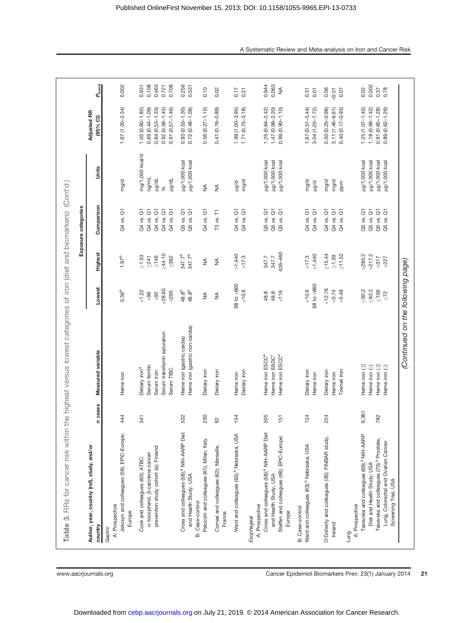| Table 3. RRs for cancer risk within the highest versus lowest categories of iron (diet and biomarkers) (Cont'd)                                                                                                                    |              |                                                                                                                      |                                                        |                                                           |                                                                      |                                                                  |                                                                                                           |                                                                                |
|------------------------------------------------------------------------------------------------------------------------------------------------------------------------------------------------------------------------------------|--------------|----------------------------------------------------------------------------------------------------------------------|--------------------------------------------------------|-----------------------------------------------------------|----------------------------------------------------------------------|------------------------------------------------------------------|-----------------------------------------------------------------------------------------------------------|--------------------------------------------------------------------------------|
|                                                                                                                                                                                                                                    |              |                                                                                                                      |                                                        |                                                           | Exposure categories                                                  |                                                                  |                                                                                                           |                                                                                |
| Author, year, country (ref), study, and/or<br>country                                                                                                                                                                              | n cases      | Measured variable                                                                                                    | Lowest                                                 | Highest                                                   | Comparison                                                           | Units                                                            | Adjusted RR<br>(95% CI)                                                                                   | $P_{\rm trend}$                                                                |
| Jakzsyn and colleagues (59); EPIC-Europe;<br>A: Prospective<br>Europe<br>Gastric                                                                                                                                                   | 444          | Heme iron                                                                                                            | 0.36 <sup>b</sup>                                      | 1.97 <sup>b</sup>                                         | Q4 vs. Q1                                                            | mg/d                                                             | $1.67(1.20 - 2.34)$                                                                                       | 0.002                                                                          |
| prevention study cohort (a); Finland<br>a-tocopherol, B-carotene cancer<br>Cook and colleagues (60); ATBC:                                                                                                                         | 341          | Serum transferrin saturation<br>Serum ferritin<br>Dietary iron <sup>d</sup><br>Serum TIBC<br>Serum iron              | 28.65<br>1.22<br>295<br>$\frac{8}{3}$<br>$\frac{8}{2}$ | >44.10<br>$\geq 1.53$<br>$\geq 146$<br>>241<br>$\geq 362$ | Q4 vs. Q1<br>Q4 vs. Q1<br>Q4 vs. Q1<br>Q4 vs. Q1<br>Q4 vs. Q1        | mg/1,000 kcal/d<br>ng/mL<br>ug/dL<br>Ho/6rl<br>$\aleph$          | $1.05(0.60 - 1.85)$<br>0.69 (0.44-1.09)<br>$0.84(0.53 - 1.33)$<br>$0.92(0.58 - 1.45)$<br>0.91 (0.57-1.46) | 0.108<br>0.463<br>0.708<br>0.721<br>0.931                                      |
| Cross and colleagues (58); <sup>4</sup> NIH-AARP Diet<br>and Health Study, USA<br><b>B</b> : Case-control                                                                                                                          | 532          | Heme iron (gastric non-cardia)<br>Heme iron (gastric cardia)                                                         | 48.8 <sup>b</sup><br>48.8 <sup>b</sup>                 | 347.7 <sup>b</sup><br>347.7 <sup>b</sup>                  | $\overline{\mathrm{o}}$<br>Q5 vs. Q1<br>Q5 vs.                       | µg/1,000 kcal<br>ug/1,000 kcal                                   | $0.83(0.53 - 1.30)$<br>$0.72(0.48 - 1.08)$                                                                | 0.256<br>0.531                                                                 |
| Pelucchi and colleagues (61); Milan, Italy                                                                                                                                                                                         | 230          | Dietary iron                                                                                                         | ₹                                                      | $\lessgtr$                                                | Q4 vs. Q1                                                            | $\lessgtr$                                                       | $0.56(0.27 - 1.15)$                                                                                       | 0.10                                                                           |
| Corneé and colleagues (62); Marseille,<br>France                                                                                                                                                                                   | 95           | Dietary iron                                                                                                         | $\lessgtr$                                             | $\lessgtr$                                                | T3 vs. T1                                                            | $\lessgtr$                                                       | 0.41 (0.19-0.89)                                                                                          | 0.02                                                                           |
| Ward and colleagues (63); <sup>a</sup> Nebraska, USA<br>Esophageal                                                                                                                                                                 | 154          | Dietary iron<br>Heme iron                                                                                            | 98 to <660<br>10.6                                     | >1,440<br>>17.3                                           | Q4 vs. Q1<br>Q4 vs. Q1                                               | mg/d<br>p/bn                                                     | 1.99 (1.00-3.95)<br>$1.71(0.75 - 3.18)$                                                                   | 0.17<br>0.21                                                                   |
| Cross and colleagues (58); <sup>a</sup> NIH-AARP Diet<br>Steffen and colleagues (68); EPIC-Europe;<br>and Health Study, USA<br>A: Prospective<br>Europe                                                                            | 505<br>151   | Heme iron ESCC <sup>e</sup><br>Heme iron ESCC <sup>e</sup><br>Heme iron EADC <sup>f</sup>                            | $\frac{1}{6}$<br>48.8<br>48.8                          | 426-460<br>347.7<br>347.7                                 | $Q5$ vs. $Q1$<br>Q5 vs. Q1<br>Q5 vs. Q1                              | µg/1,000 kcal<br>µg/1,000 kcal<br>µg/1,000 kcal                  | $1.25(0.64 - 2.42)$<br>$1.47(0.99 - 2.20)$<br>$0.99(0.90 - 1.10)$                                         | 0.944<br>0.063<br>$\mathop{\mathrel{\not\leq}}\limits_{{\mathrel{\sqsubset}}}$ |
| Ward and colleagues (63); <sup>a</sup> Nebraska, USA<br><b>B</b> : Case-control                                                                                                                                                    | 124          | Dietary iron<br>Heme iron                                                                                            | $98$ to $<660$<br>10.6                                 | >1,440<br>>17.3                                           | Q4 vs. Q1<br>Q4 vs. Q1                                               | mg/d<br>p/ph                                                     | $1.67(0.51 - 5.44)$<br>3.04 (1.20-7.72)                                                                   | 0.31<br>0.01                                                                   |
| O'Doherty and colleagues (26); FINBAR study,<br>Ireland                                                                                                                                                                            | 224          | Toenail iron<br>Dietary iron<br>Heme iron                                                                            | 12.76<br>5.48<br>< 0.74                                | $\ge$ 15.44<br>$\geq 11.52$<br>$\geq 1.39$                | Q4 vs. Q1<br>Q4 vs. Q1<br>$\overline{\circ}$<br>Q4 vs.               | mg/d<br>mg/d<br>ppm                                              | 0.50 (0.25-0.98)<br>3.11 (1.46-6.61)<br>0.40 (0.17-0.93)                                                  | 0.06<br>50.01<br>0.07                                                          |
| Tasevska and colleagues (69); <sup>a</sup> NIH-AARP<br>Tasevska and colleagues (70); <sup>a</sup> Prostate,<br>Lung, Colorectal and Ovarian Cancer<br>Diet and Health Study; USA<br>Screening Trial; USA<br>A: Prospective<br>Lung | 6,361<br>782 | Heme iron $\langle \mathcal{J} \rangle$<br>Heme iron $\circledR$<br>Heme iron $\left(\delta\right)$<br>Heme iron (2) | $\leq 63.2$<br>$\leq 90.2$<br>$\leq 106$<br>$\leq 72$  | >217.2<br>>285.2<br>> 317<br>>227                         | Q5 vs. Q1<br>Q5 vs. Q1<br>Q5 vs. Q1<br>$\overline{\sigma}$<br>Q5 vs. | µg/1,000 kcal<br>µg/1,000 kcal<br>µg/1,000 kcal<br>ug/1,000 kcal | $1.25(1.07 - 1.45)$<br>$1.18(0.99 - 1.42)$<br>0.91 (0.65-1.28)<br>$0.89(0.62 - 1.29)$                     | 0.002<br>0.78<br>0.02<br>0.37                                                  |
|                                                                                                                                                                                                                                    |              | (Continued on the following page)                                                                                    |                                                        |                                                           |                                                                      |                                                                  |                                                                                                           |                                                                                |

www.aacrjournals.org extending the Cancer Epidemiol Biomarkers Prev; 23(1) January 2014 21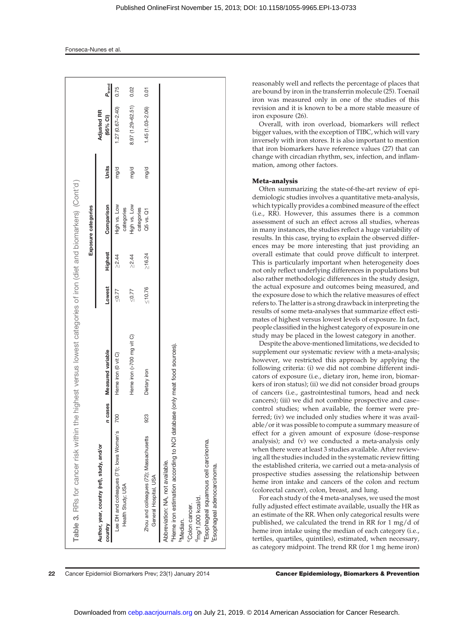| Table 3. RRs for cancer risk within the highest versus lowest categories of iron (diet and biomarkers) (Cont'd)                                                                                                                                                                       |         |                           |              |                |                            |       |                                |                    |
|---------------------------------------------------------------------------------------------------------------------------------------------------------------------------------------------------------------------------------------------------------------------------------------|---------|---------------------------|--------------|----------------|----------------------------|-------|--------------------------------|--------------------|
|                                                                                                                                                                                                                                                                                       |         |                           |              |                | Exposure categories        |       |                                |                    |
| Author, year, country (ref), study, and/or<br>country                                                                                                                                                                                                                                 | n cases | Measured variable         | Lowest       | <b>Highest</b> | Comparison                 | Units | <b>Adjusted RR</b><br>(95% Cl) | $P_{\text{trend}}$ |
| Lee DH and colleagues (71); lowa Women's<br>Health Study; USA                                                                                                                                                                                                                         | 700     | Heme iron (0 vit C)       | 50.77        | $\geq 2.44$    | High vs. Low<br>categories | mg/d  | $1.27(0.67 - 2.40)$            | 0.75               |
|                                                                                                                                                                                                                                                                                       |         | Heme iron (>700 mg vit C) | 50.77        | $\geq 2.44$    | High vs. Low               | mg/d  | 8.97 (1.29-62.51)              | 0.02               |
| Zhou and colleagues (72); Massachusetts<br>General Hospital, USA                                                                                                                                                                                                                      | 923     | Dietary iron              | $\leq 10.76$ | $\geq 16.24$   | categories<br>Q5 vs. Q1    | mg/d  | $1.45(1.03 - 2.06)$            | 0.01               |
| <sup>a</sup> Heme iron estimation according to NCI database<br><sup>e</sup> Esophageal squamous cell carcinoma.<br>Abbreviation: NA, not available.<br><sup>f</sup> Esophageal adenocarcinoma.<br><sup>d</sup> mg/1,000 kcal/d.<br><sup>c</sup> Colon cancer.<br><sup>b</sup> Median. |         | (only meat food sources). |              |                |                            |       |                                |                    |

reasonably well and reflects the percentage of places that are bound by iron in the transferrin molecule (25). Toenail iron was measured only in one of the studies of this revision and it is known to be a more stable measure of iron exposure (26).

Overall, with iron overload, biomarkers will reflect bigger values, with the exception of TIBC, which will vary inversely with iron stores. It is also important to mention that iron biomarkers have reference values (27) that can change with circadian rhythm, sex, infection, and inflammation, among other factors.

### Meta-analysis

Often summarizing the state-of-the-art review of epidemiologic studies involves a quantitative meta-analysis, which typically provides a combined measure of the effect (i.e., RR). However, this assumes there is a common assessment of such an effect across all studies, whereas in many instances, the studies reflect a huge variability of results. In this case, trying to explain the observed differences may be more interesting that just providing an overall estimate that could prove difficult to interpret. This is particularly important when heterogeneity does not only reflect underlying differences in populations but also rather methodologic differences in the study design, the actual exposure and outcomes being measured, and the exposure dose to which the relative measures of effect refers to. The latter is a strong drawback in interpreting the results of some meta-analyses that summarize effect estimates of highest versus lowest levels of exposure. In fact, people classified in the highest category of exposure in one study may be placed in the lowest category in another.

Despite the above-mentioned limitations, we decided to supplement our systematic review with a meta-analysis; however, we restricted this approach by applying the following criteria: (i) we did not combine different indicators of exposure (i.e., dietary iron, heme iron, biomarkers of iron status); (ii) we did not consider broad groups of cancers (i.e., gastrointestinal tumors, head and neck cancers); (iii) we did not combine prospective and case– control studies; when available, the former were preferred; (iv) we included only studies where it was available/or it was possible to compute a summary measure of effect for a given amount of exposure (dose–response analysis); and (v) we conducted a meta-analysis only when there were at least 3 studies available. After reviewing all the studies included in the systematic review fitting the established criteria, we carried out a meta-analysis of prospective studies assessing the relationship between heme iron intake and cancers of the colon and rectum (colorectal cancer), colon, breast, and lung.

For each study of the 4 meta-analyses, we used the most fully adjusted effect estimate available, usually the HR as an estimate of the RR. When only categorical results were published, we calculated the trend in RR for 1 mg/d of heme iron intake using the median of each category (i.e., tertiles, quartiles, quintiles), estimated, when necessary, as category midpoint. The trend RR (for 1 mg heme iron)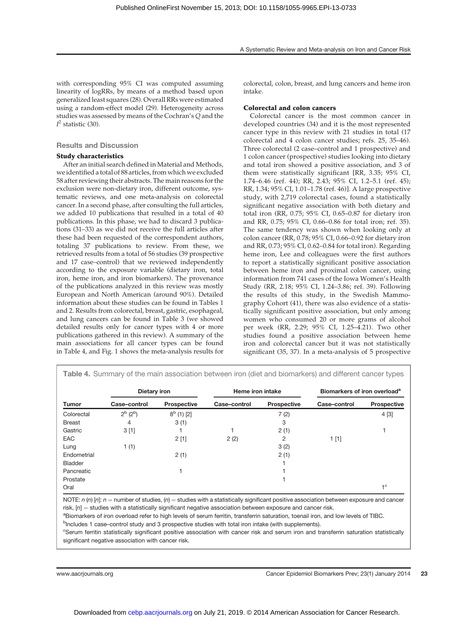with corresponding 95% CI was computed assuming linearity of logRRs, by means of a method based upon generalized least squares (28). Overall RRs were estimated using a random-effect model (29). Heterogeneity across studies was assessed by means of the Cochran's Q and the  $I<sup>2</sup>$  statistic (30).

## Results and Discussion

#### Study characteristics

After an initial search defined in Material and Methods, we identified a total of 88 articles, from which we excluded 58 after reviewing their abstracts. The main reasons for the exclusion were non-dietary iron, different outcome, systematic reviews, and one meta-analysis on colorectal cancer. In a second phase, after consulting the full articles, we added 10 publications that resulted in a total of 40 publications. In this phase, we had to discard 3 publications (31–33) as we did not receive the full articles after these had been requested of the correspondent authors, totaling 37 publications to review. From these, we retrieved results from a total of 56 studies (39 prospective and 17 case–control) that we reviewed independently according to the exposure variable (dietary iron, total iron, heme iron, and iron biomarkers). The provenance of the publications analyzed in this review was mostly European and North American (around 90%). Detailed information about these studies can be found in Tables 1 and 2. Results from colorectal, breast, gastric, esophageal, and lung cancers can be found in Table 3 (we showed detailed results only for cancer types with 4 or more publications gathered in this review). A summary of the main associations for all cancer types can be found in Table 4, and Fig. 1 shows the meta-analysis results for colorectal, colon, breast, and lung cancers and heme iron intake.

#### Colorectal and colon cancers

Colorectal cancer is the most common cancer in developed countries (34) and it is the most represented cancer type in this review with 21 studies in total (17 colorectal and 4 colon cancer studies; refs. 25, 35–46). Three colorectal (2 case–control and 1 prospective) and 1 colon cancer (prospective) studies looking into dietary and total iron showed a positive association, and 3 of them were statistically significant [RR, 3.35; 95% CI, 1.74–6.46 (ref. 44); RR, 2.43; 95% CI, 1.2–5.1 (ref. 45); RR, 1.34; 95% CI, 1.01–1.78 (ref. 46)]. A large prospective study, with 2,719 colorectal cases, found a statistically significant negative association with both dietary and total iron (RR, 0.75; 95% CI, 0.65–0.87 for dietary iron and RR, 0.75; 95% CI, 0.66–0.86 for total iron; ref. 35). The same tendency was shown when looking only at colon cancer (RR, 0.78; 95% CI, 0.66–0.92 for dietary iron and RR, 0.73; 95% CI, 0.62–0.84 for total iron). Regarding heme iron, Lee and colleagues were the first authors to report a statistically significant positive association between heme iron and proximal colon cancer, using information from 741 cases of the Iowa Women's Health Study (RR, 2.18; 95% CI, 1.24–3.86; ref. 39). Following the results of this study, in the Swedish Mammography Cohort (41), there was also evidence of a statistically significant positive association, but only among women who consumed 20 or more grams of alcohol per week (RR, 2.29; 95% CI, 1.25–4.21). Two other studies found a positive association between heme iron and colorectal cancer but it was not statistically significant (35, 37). In a meta-analysis of 5 prospective

Table 4. Summary of the main association between iron (diet and biomarkers) and different cancer types

|                | Dietary iron    |                    | Heme iron intake |                    | Biomarkers of iron overload <sup>a</sup> |                    |
|----------------|-----------------|--------------------|------------------|--------------------|------------------------------------------|--------------------|
| <b>Tumor</b>   | Case-control    | <b>Prospective</b> | Case-control     | <b>Prospective</b> | Case-control                             | <b>Prospective</b> |
| Colorectal     | $2^{b} (2^{b})$ | $8^b$ (1) [2]      |                  | 7(2)               |                                          | 4 [3]              |
| <b>Breast</b>  | 4               | 3(1)               |                  | 3                  |                                          |                    |
| Gastric        | 3[1]            |                    |                  | 2(1)               |                                          |                    |
| <b>EAC</b>     |                 | 2[1]               | 2(2)             | 2                  | 1[1]                                     |                    |
| Lung           | 1(1)            |                    |                  | 3(2)               |                                          |                    |
| Endometrial    |                 | 2(1)               |                  | 2(1)               |                                          |                    |
| <b>Bladder</b> |                 |                    |                  |                    |                                          |                    |
| Pancreatic     |                 |                    |                  |                    |                                          |                    |
| Prostate       |                 |                    |                  |                    |                                          |                    |
| Oral           |                 |                    |                  |                    |                                          | $-1^{\circ}$       |

NOTE:  $n$  (n) [n]:  $n =$  number of studies, (n) = studies with a statistically significant positive association between exposure and cancer risk,  $[n]$  = studies with a statistically significant negative association between exposure and cancer risk.

aBiomarkers of iron overload refer to high levels of serum ferritin, transferrin saturation, toenail iron, and low levels of TIBC.

<sup>b</sup>Includes 1 case–control study and 3 prospective studies with total iron intake (with supplements).

<sup>c</sup>Serum ferritin statistically significant positive association with cancer risk and serum iron and transferrin saturation statistically significant negative association with cancer risk.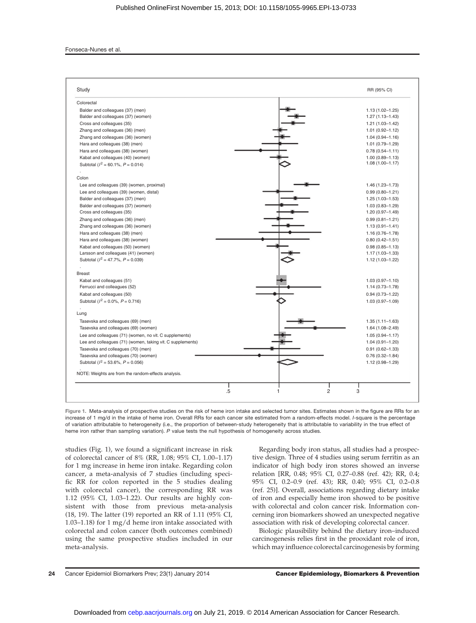#### Fonseca-Nunes et al.

| Study                                                                            | RR (95% CI)                                |
|----------------------------------------------------------------------------------|--------------------------------------------|
| Colorectal                                                                       |                                            |
| Balder and colleagues (37) (men)                                                 | $1.13(1.02 - 1.25)$                        |
| Balder and colleagues (37) (women)                                               | $1.27(1.13 - 1.43)$                        |
| Cross and colleagues (35)                                                        | 1.21 (1.03-1.42)                           |
| Zhang and colleagues (36) (men)                                                  | $1.01(0.92 - 1.12)$                        |
| Zhang and colleagues (36) (women)                                                | $1.04(0.94 - 1.16)$                        |
| Hara and colleagues (38) (men)                                                   | 1.01 (0.79-1.29)                           |
| Hara and colleagues (38) (women)                                                 | $0.78(0.54 - 1.11)$                        |
| Kabat and colleagues (40) (women)                                                | $1.00(0.89 - 1.13)$                        |
| Subtotal ( $l^2 = 60.1\%$ , $P = 0.014$ )                                        | $1.08(1.00 - 1.17)$                        |
| Colon                                                                            |                                            |
| Lee and colleagues (39) (women, proximal)                                        | $1.46(1.23 - 1.73)$                        |
|                                                                                  |                                            |
| Lee and colleagues (39) (women, distal)<br>Balder and colleagues (37) (men)      | $0.99(0.80 - 1.21)$<br>$1.25(1.03 - 1.53)$ |
| Balder and colleagues (37) (women)                                               |                                            |
| Cross and colleagues (35)                                                        | $1.03(0.83 - 1.29)$<br>$1.20(0.97 - 1.49)$ |
|                                                                                  |                                            |
| Zhang and colleagues (36) (men)                                                  | $0.99(0.81 - 1.21)$                        |
| Zhang and colleagues (36) (women)                                                | $1.13(0.91 - 1.41)$                        |
| Hara and colleagues (38) (men)                                                   | $1.16(0.76 - 1.78)$                        |
| Hara and colleagues (38) (women)                                                 | $0.80(0.42 - 1.51)$                        |
| Kabat and colleagues (50) (women)                                                | $0.98(0.85 - 1.13)$                        |
| Larsson and colleagues (41) (women)<br>Subtotal ( $l^2 = 47.7\%$ , $P = 0.039$ ) | $1.17(1.03 - 1.33)$                        |
|                                                                                  | 1.12 (1.03-1.22)                           |
| <b>Breast</b>                                                                    |                                            |
| Kabat and colleagues (51)                                                        | $1.03(0.97 - 1.10)$                        |
| Ferrucci and colleagues (52)                                                     | $1.14(0.73 - 1.78)$                        |
| Kabat and colleagues (50)                                                        | $0.94(0.73 - 1.22)$                        |
| Subtotal ( $l^2 = 0.0\%$ , $P = 0.716$ )                                         | $1.03(0.97 - 1.09)$                        |
| Lung                                                                             |                                            |
| Tasevska and colleagues (69) (men)                                               | $1.35(1.11 - 1.63)$                        |
| Tasevska and colleagues (69) (women)                                             | $1.64(1.08 - 2.49)$                        |
| Lee and colleagues (71) (women, no vit. C supplements)                           | $1.05(0.94 - 1.17)$                        |
| Lee and colleagues (71) (women, taking vit. C supplements)                       | $1.04(0.91 - 1.20)$                        |
| Tasevska and colleagues (70) (men)                                               | $0.91(0.62 - 1.33)$                        |
| Tasevska and colleagues (70) (women)                                             | $0.76(0.32 - 1.84)$                        |
| Subtotal ( $l^2 = 53.6\%$ , $P = 0.056$ )                                        | 1.12 (0.98-1.29)                           |
| NOTE: Weights are from the random-effects analysis.                              |                                            |
|                                                                                  |                                            |
| .5                                                                               | $\overline{c}$<br>3                        |

Figure 1. Meta-analysis of prospective studies on the risk of heme iron intake and selected tumor sites. Estimates shown in the figure are RRs for an increase of 1 mg/d in the intake of heme iron. Overall RRs for each cancer site estimated from a random-effects model. I-square is the percentage of variation attributable to heterogeneity (i.e., the proportion of between-study heterogeneity that is attributable to variability in the true effect of heme iron rather than sampling variation). P value tests the null hypothesis of homogeneity across studies.

studies (Fig. 1), we found a significant increase in risk of colorectal cancer of 8% (RR, 1.08; 95% CI, 1.00–1.17) for 1 mg increase in heme iron intake. Regarding colon cancer, a meta-analysis of 7 studies (including specific RR for colon reported in the 5 studies dealing with colorectal cancer), the corresponding RR was 1.12 (95% CI, 1.03–1.22). Our results are highly consistent with those from previous meta-analysis (18, 19). The latter (19) reported an RR of 1.11 (95% CI, 1.03–1.18) for 1 mg/d heme iron intake associated with colorectal and colon cancer (both outcomes combined) using the same prospective studies included in our meta-analysis.

Regarding body iron status, all studies had a prospective design. Three of 4 studies using serum ferritin as an indicator of high body iron stores showed an inverse relation [RR, 0.48; 95% CI, 0.27–0.88 (ref. 42); RR, 0.4; 95% CI, 0.2–0.9 (ref. 43); RR, 0.40; 95% CI, 0.2–0.8 (ref. 25)]. Overall, associations regarding dietary intake of iron and especially heme iron showed to be positive with colorectal and colon cancer risk. Information concerning iron biomarkers showed an unexpected negative association with risk of developing colorectal cancer.

Biologic plausibility behind the dietary iron–induced carcinogenesis relies first in the prooxidant role of iron, which may influence colorectal carcinogenesis by forming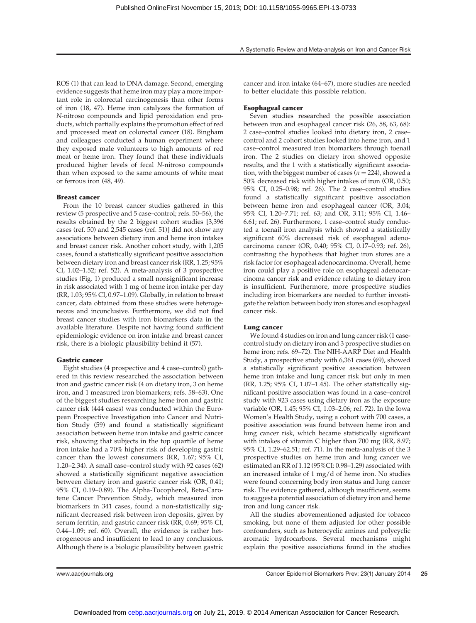ROS (1) that can lead to DNA damage. Second, emerging evidence suggests that heme iron may play a more important role in colorectal carcinogenesis than other forms of iron (18, 47). Heme iron catalyzes the formation of N-nitroso compounds and lipid peroxidation end products, which partially explains the promotion effect of red and processed meat on colorectal cancer (18). Bingham and colleagues conducted a human experiment where they exposed male volunteers to high amounts of red meat or heme iron. They found that these individuals produced higher levels of fecal N-nitroso compounds than when exposed to the same amounts of white meat or ferrous iron (48, 49).

#### Breast cancer

From the 10 breast cancer studies gathered in this review (5 prospective and 5 case–control; refs. 50–56), the results obtained by the 2 biggest cohort studies [3,396 cases (ref. 50) and 2,545 cases (ref. 51)] did not show any associations between dietary iron and heme iron intakes and breast cancer risk. Another cohort study, with 1,205 cases, found a statistically significant positive association between dietary iron and breast cancer risk (RR, 1.25; 95% CI, 1.02–1.52; ref. 52). A meta-analysis of 3 prospective studies (Fig. 1) produced a small nonsignificant increase in risk associated with 1 mg of heme iron intake per day (RR, 1.03; 95% CI, 0.97–1.09). Globally, in relation to breast cancer, data obtained from these studies were heterogeneous and inconclusive. Furthermore, we did not find breast cancer studies with iron biomarkers data in the available literature. Despite not having found sufficient epidemiologic evidence on iron intake and breast cancer risk, there is a biologic plausibility behind it (57).

#### Gastric cancer

Eight studies (4 prospective and 4 case–control) gathered in this review researched the association between iron and gastric cancer risk (4 on dietary iron, 3 on heme iron, and 1 measured iron biomarkers; refs. 58–63). One of the biggest studies researching heme iron and gastric cancer risk (444 cases) was conducted within the European Prospective Investigation into Cancer and Nutrition Study (59) and found a statistically significant association between heme iron intake and gastric cancer risk, showing that subjects in the top quartile of heme iron intake had a 70% higher risk of developing gastric cancer than the lowest consumers (RR, 1.67; 95% CI, 1.20–2.34). A small case–control study with 92 cases (62) showed a statistically significant negative association between dietary iron and gastric cancer risk (OR, 0.41; 95% CI, 0.19–0.89). The Alpha-Tocopherol, Beta-Carotene Cancer Prevention Study, which measured iron biomarkers in 341 cases, found a non-statistically significant decreased risk between iron deposits, given by serum ferritin, and gastric cancer risk (RR, 0.69; 95% CI, 0.44–1.09; ref. 60). Overall, the evidence is rather heterogeneous and insufficient to lead to any conclusions. Although there is a biologic plausibility between gastric

cancer and iron intake (64–67), more studies are needed to better elucidate this possible relation.

#### Esophageal cancer

Seven studies researched the possible association between iron and esophageal cancer risk (26, 58, 63, 68): 2 case–control studies looked into dietary iron, 2 case– control and 2 cohort studies looked into heme iron, and 1 case–control measured iron biomarkers through toenail iron. The 2 studies on dietary iron showed opposite results, and the 1 with a statistically significant association, with the biggest number of cases ( $n = 224$ ), showed a 50% decreased risk with higher intakes of iron (OR, 0.50; 95% CI, 0.25–0.98; ref. 26). The 2 case–control studies found a statistically significant positive association between heme iron and esophageal cancer (OR, 3.04; 95% CI, 1.20–7.71; ref. 63; and OR, 3.11; 95% CI, 1.46– 6.61; ref. 26). Furthermore, 1 case–control study conducted a toenail iron analysis which showed a statistically significant 60% decreased risk of esophageal adenocarcinoma cancer (OR, 0.40; 95% CI, 0.17–0.93; ref. 26), contrasting the hypothesis that higher iron stores are a risk factor for esophageal adenocarcinoma. Overall, heme iron could play a positive role on esophageal adenocarcinoma cancer risk and evidence relating to dietary iron is insufficient. Furthermore, more prospective studies including iron biomarkers are needed to further investigate the relation between body iron stores and esophageal cancer risk.

#### Lung cancer

We found 4 studies on iron and lung cancer risk (1 casecontrol study on dietary iron and 3 prospective studies on heme iron; refs. 69–72). The NIH-AARP Diet and Health Study, a prospective study with 6,361 cases (69), showed a statistically significant positive association between heme iron intake and lung cancer risk but only in men (RR, 1.25; 95% CI, 1.07–1.45). The other statistically significant positive association was found in a case–control study with 923 cases using dietary iron as the exposure variable (OR, 1.45; 95% CI, 1.03–2.06; ref. 72). In the Iowa Women's Health Study, using a cohort with 700 cases, a positive association was found between heme iron and lung cancer risk, which became statistically significant with intakes of vitamin C higher than 700 mg (RR, 8.97; 95% CI, 1.29–62.51; ref. 71). In the meta-analysis of the 3 prospective studies on heme iron and lung cancer we estimated an RR of 1.12 (95%CI: 0.98–1.29) associated with an increased intake of  $1 \text{ mg/d}$  of heme iron. No studies were found concerning body iron status and lung cancer risk. The evidence gathered, although insufficient, seems to suggest a potential association of dietary iron and heme iron and lung cancer risk.

All the studies abovementioned adjusted for tobacco smoking, but none of them adjusted for other possible confounders, such as heterocyclic amines and polycyclic aromatic hydrocarbons. Several mechanisms might explain the positive associations found in the studies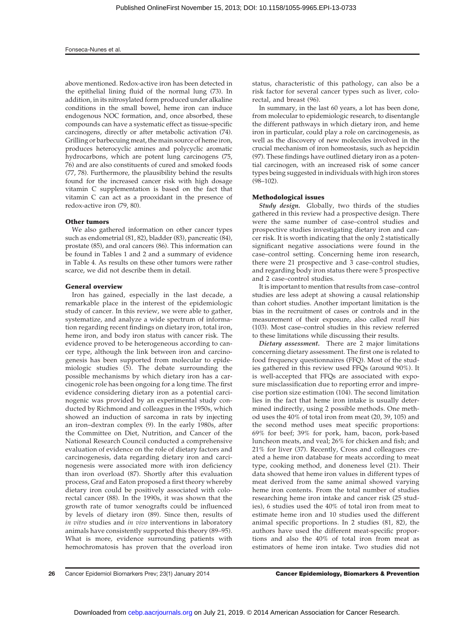above mentioned. Redox-active iron has been detected in the epithelial lining fluid of the normal lung (73). In addition, in its nitrosylated form produced under alkaline conditions in the small bowel, heme iron can induce endogenous NOC formation, and, once absorbed, these compounds can have a systematic effect as tissue-specific carcinogens, directly or after metabolic activation (74). Grilling or barbecuing meat, the main source of heme iron, produces heterocyclic amines and polycyclic aromatic hydrocarbons, which are potent lung carcinogens (75, 76) and are also constituents of cured and smoked foods (77, 78). Furthermore, the plausibility behind the results found for the increased cancer risk with high dosage vitamin C supplementation is based on the fact that vitamin C can act as a prooxidant in the presence of redox-active iron (79, 80).

#### Other tumors

We also gathered information on other cancer types such as endometrial (81, 82), bladder (83), pancreatic (84), prostate (85), and oral cancers (86). This information can be found in Tables 1 and 2 and a summary of evidence in Table 4. As results on these other tumors were rather scarce, we did not describe them in detail.

#### General overview

Iron has gained, especially in the last decade, a remarkable place in the interest of the epidemiologic study of cancer. In this review, we were able to gather, systematize, and analyze a wide spectrum of information regarding recent findings on dietary iron, total iron, heme iron, and body iron status with cancer risk. The evidence proved to be heterogeneous according to cancer type, although the link between iron and carcinogenesis has been supported from molecular to epidemiologic studies (5). The debate surrounding the possible mechanisms by which dietary iron has a carcinogenic role has been ongoing for a long time. The first evidence considering dietary iron as a potential carcinogenic was provided by an experimental study conducted by Richmond and colleagues in the 1950s, which showed an induction of sarcoma in rats by injecting an iron–dextran complex (9). In the early 1980s, after the Committee on Diet, Nutrition, and Cancer of the National Research Council conducted a comprehensive evaluation of evidence on the role of dietary factors and carcinogenesis, data regarding dietary iron and carcinogenesis were associated more with iron deficiency than iron overload (87). Shortly after this evaluation process, Graf and Eaton proposed a first theory whereby dietary iron could be positively associated with colorectal cancer (88). In the 1990s, it was shown that the growth rate of tumor xenografts could be influenced by levels of dietary iron (89). Since then, results of in vitro studies and in vivo interventions in laboratory animals have consistently supported this theory (89–95). What is more, evidence surrounding patients with hemochromatosis has proven that the overload iron status, characteristic of this pathology, can also be a risk factor for several cancer types such as liver, colorectal, and breast (96).

In summary, in the last 60 years, a lot has been done, from molecular to epidemiologic research, to disentangle the different pathways in which dietary iron, and heme iron in particular, could play a role on carcinogenesis, as well as the discovery of new molecules involved in the crucial mechanism of iron homeostasis, such as hepcidin (97). These findings have outlined dietary iron as a potential carcinogen, with an increased risk of some cancer types being suggested in individuals with high iron stores (98–102).

#### Methodological issues

Study design. Globally, two thirds of the studies gathered in this review had a prospective design. There were the same number of case–control studies and prospective studies investigating dietary iron and cancer risk. It is worth indicating that the only 2 statistically significant negative associations were found in the case–control setting. Concerning heme iron research, there were 21 prospective and 3 case–control studies, and regarding body iron status there were 5 prospective and 2 case–control studies.

It is important to mention that results from case–control studies are less adept at showing a causal relationship than cohort studies. Another important limitation is the bias in the recruitment of cases or controls and in the measurement of their exposure, also called recall bias (103). Most case–control studies in this review referred to these limitations while discussing their results.

Dietary assessment. There are 2 major limitations concerning dietary assessment. The first one is related to food frequency questionnaires (FFQ). Most of the studies gathered in this review used FFQs (around 90%). It is well-accepted that FFQs are associated with exposure misclassification due to reporting error and imprecise portion size estimation (104). The second limitation lies in the fact that heme iron intake is usually determined indirectly, using 2 possible methods. One method uses the 40% of total iron from meat (20, 39, 105) and the second method uses meat specific proportions: 69% for beef; 39% for pork, ham, bacon, pork-based luncheon meats, and veal; 26% for chicken and fish; and 21% for liver (37). Recently, Cross and colleagues created a heme iron database for meats according to meat type, cooking method, and doneness level (21). Their data showed that heme iron values in different types of meat derived from the same animal showed varying heme iron contents. From the total number of studies researching heme iron intake and cancer risk (25 studies), 6 studies used the 40% of total iron from meat to estimate heme iron and 10 studies used the different animal specific proportions. In 2 studies (81, 82), the authors have used the different meat-specific proportions and also the 40% of total iron from meat as estimators of heme iron intake. Two studies did not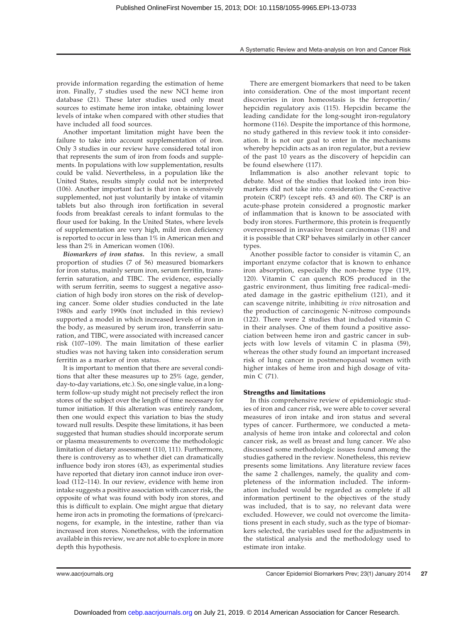provide information regarding the estimation of heme iron. Finally, 7 studies used the new NCI heme iron database (21). These later studies used only meat sources to estimate heme iron intake, obtaining lower levels of intake when compared with other studies that have included all food sources.

Another important limitation might have been the failure to take into account supplementation of iron. Only 3 studies in our review have considered total iron that represents the sum of iron from foods and supplements. In populations with low supplementation, results could be valid. Nevertheless, in a population like the United States, results simply could not be interpreted (106). Another important fact is that iron is extensively supplemented, not just voluntarily by intake of vitamin tablets but also through iron fortification in several foods from breakfast cereals to infant formulas to the flour used for baking. In the United States, where levels of supplementation are very high, mild iron deficiency is reported to occur in less than 1% in American men and less than 2% in American women (106).

Biomarkers of iron status. In this review, a small proportion of studies (7 of 56) measured biomarkers for iron status, mainly serum iron, serum ferritin, transferrin saturation, and TIBC. The evidence, especially with serum ferritin, seems to suggest a negative association of high body iron stores on the risk of developing cancer. Some older studies conducted in the late 1980s and early 1990s (not included in this review) supported a model in which increased levels of iron in the body, as measured by serum iron, transferrin saturation, and TIBC, were associated with increased cancer risk (107–109). The main limitation of these earlier studies was not having taken into consideration serum ferritin as a marker of iron status.

It is important to mention that there are several conditions that alter these measures up to 25% (age, gender, day-to-day variations, etc.). So, one single value, in a longterm follow-up study might not precisely reflect the iron stores of the subject over the length of time necessary for tumor initiation. If this alteration was entirely random, then one would expect this variation to bias the study toward null results. Despite these limitations, it has been suggested that human studies should incorporate serum or plasma measurements to overcome the methodologic limitation of dietary assessment (110, 111). Furthermore, there is controversy as to whether diet can dramatically influence body iron stores (43), as experimental studies have reported that dietary iron cannot induce iron overload (112–114). In our review, evidence with heme iron intake suggests a positive association with cancer risk, the opposite of what was found with body iron stores, and this is difficult to explain. One might argue that dietary heme iron acts in promoting the formations of (pre)carcinogens, for example, in the intestine, rather than via increased iron stores. Nonetheless, with the information available in this review, we are not able to explore in more depth this hypothesis.

There are emergent biomarkers that need to be taken into consideration. One of the most important recent discoveries in iron homeostasis is the ferroportin/ hepcidin regulatory axis (115). Hepcidin became the leading candidate for the long-sought iron-regulatory hormone (116). Despite the importance of this hormone, no study gathered in this review took it into consideration. It is not our goal to enter in the mechanisms whereby hepcidin acts as an iron regulator, but a review of the past 10 years as the discovery of hepcidin can be found elsewhere (117).

Inflammation is also another relevant topic to debate. Most of the studies that looked into iron biomarkers did not take into consideration the C-reactive protein (CRP) (except refs. 43 and 60). The CRP is an acute-phase protein considered a prognostic marker of inflammation that is known to be associated with body iron stores. Furthermore, this protein is frequently overexpressed in invasive breast carcinomas (118) and it is possible that CRP behaves similarly in other cancer types.

Another possible factor to consider is vitamin C, an important enzyme cofactor that is known to enhance iron absorption, especially the non-heme type (119, 120). Vitamin C can quench ROS produced in the gastric environment, thus limiting free radical–mediated damage in the gastric epithelium (121), and it can scavenge nitrite, inhibiting in vivo nitrosation and the production of carcinogenic N-nitroso compounds (122). There were 2 studies that included vitamin C in their analyses. One of them found a positive association between heme iron and gastric cancer in subjects with low levels of vitamin C in plasma (59), whereas the other study found an important increased risk of lung cancer in postmenopausal women with higher intakes of heme iron and high dosage of vitamin C (71).

### Strengths and limitations

In this comprehensive review of epidemiologic studies of iron and cancer risk, we were able to cover several measures of iron intake and iron status and several types of cancer. Furthermore, we conducted a metaanalysis of heme iron intake and colorectal and colon cancer risk, as well as breast and lung cancer. We also discussed some methodologic issues found among the studies gathered in the review. Nonetheless, this review presents some limitations. Any literature review faces the same 2 challenges, namely, the quality and completeness of the information included. The information included would be regarded as complete if all information pertinent to the objectives of the study was included, that is to say, no relevant data were excluded. However, we could not overcome the limitations present in each study, such as the type of biomarkers selected, the variables used for the adjustments in the statistical analysis and the methodology used to estimate iron intake.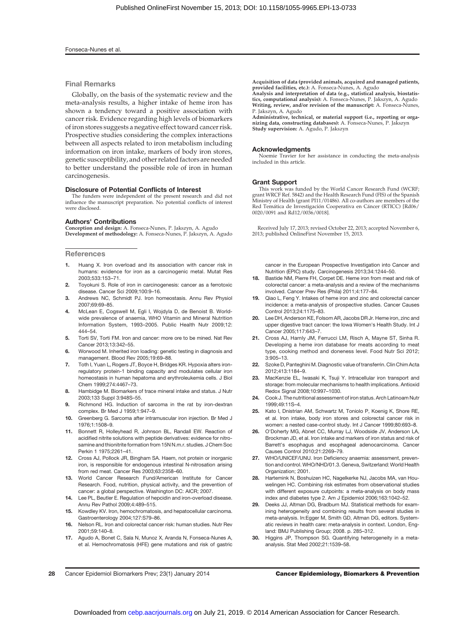#### Fonseca-Nunes et al.

#### Final Remarks

Globally, on the basis of the systematic review and the meta-analysis results, a higher intake of heme iron has shown a tendency toward a positive association with cancer risk. Evidence regarding high levels of biomarkers of iron stores suggests a negative effect toward cancer risk. Prospective studies considering the complex interactions between all aspects related to iron metabolism including information on iron intake, markers of body iron stores, genetic susceptibility, and other related factors are needed to better understand the possible role of iron in human carcinogenesis.

#### Disclosure of Potential Conflicts of Interest

The funders were independent of the present research and did not influence the manuscript preparation. No potential conflicts of interest were disclosed.

#### Authors' Contributions

Conception and design: A. Fonseca-Nunes, P. Jakszyn, A. Agudo Development of methodology: A. Fonseca-Nunes, P. Jakszyn, A. Agudo

#### **References**

- 1. Huang X. Iron overload and its association with cancer risk in humans: evidence for iron as a carcinogenic metal. Mutat Res 2003;533:153–71.
- 2. Toyokuni S. Role of iron in carcinogenesis: cancer as a ferrotoxic disease. Cancer Sci 2009;100:9–16.
- 3. Andrews NC, Schmidt PJ. Iron homeostasis. Annu Rev Physiol 2007;69:69–85.
- 4. McLean E, Cogswell M, Egli I, Wojdyla D, de Benoist B. Worldwide prevalence of anaemia, WHO Vitamin and Mineral Nutrition Information System, 1993–2005. Public Health Nutr 2009;12: 444–54.
- 5. Torti SV, Torti FM. Iron and cancer: more ore to be mined. Nat Rev Cancer 2013;13:342–55.
- 6. Worwood M. Inherited iron loading: genetic testing in diagnosis and management. Blood Rev 2005;19:69–88.
- 7. Toth I, Yuan L, Rogers JT, Boyce H, Bridges KR. Hypoxia alters ironregulatory protein-1 binding capacity and modulates cellular iron homeostasis in human hepatoma and erythroleukemia cells. J Biol Chem 1999;274:4467–73.
- 8. Hambidge M. Biomarkers of trace mineral intake and status. J Nutr 2003;133 Suppl 3:948S–55.
- 9. Richmond HG. Induction of sarcoma in the rat by iron-dextran complex. Br Med J 1959;1:947–9.
- 10. Greenberg G. Sarcoma after intramuscular iron injection. Br Med J 1976;1:1508–9.
- 11. Bonnett R, Holleyhead R, Johnson BL, Randall EW. Reaction of acidified nitrite solutions with peptide derivatives: evidence for nitrosamine and thionitrite formation from 15N N.m.r. studies. J Chem Soc Perkin 1 1975;2261–41.
- 12. Cross AJ, Pollock JR, Bingham SA. Haem, not protein or inorganic iron, is responsible for endogenous intestinal N-nitrosation arising from red meat. Cancer Res 2003;63:2358–60.
- 13. World Cancer Research Fund/American Institute for Cancer Research. Food, nutrition, physical activity, and the prevention of cancer: a global perspective. Washington DC: AICR; 2007.
- 14. Lee PL, Beutler E. Regulation of hepcidin and iron-overload disease. Annu Rev Pathol 2009;4:489–515.
- 15. Kowdley KV. Iron, hemochromatosis, and hepatocellular carcinoma. Gastroenterology 2004;127:S79–86.
- 16. Nelson RL. Iron and colorectal cancer risk: human studies. Nutr Rev 2001;59:140–8.
- 17. Agudo A, Bonet C, Sala N, Munoz X, Aranda N, Fonseca-Nunes A, et al. Hemochromatosis (HFE) gene mutations and risk of gastric

Acquisition of data (provided animals, acquired and managed patients, provided facilities, etc.): A. Fonseca-Nunes, A. Agudo Analysis and interpretation of data (e.g., statistical analysis, biostatis-

tics, computational analysis): A. Fonseca-Nunes, P. Jakszyn, A. Agudo Writing, review, and/or revision of the manuscript: A. Fonseca-Nunes, P. Jakszyn, A. Agudo

Administrative, technical, or material support (i.e., reporting or organizing data, constructing databases): A. Fonseca-Nunes, P. Jakszyn Study supervision: A. Agudo, P. Jakszyn

#### Acknowledgments

Noemie Travier for her assistance in conducting the meta-analysis included in this article.

#### Grant Support

This work was funded by the World Cancer Research Fund (WCRF; grant WRCF Ref. 5842) and the Health Research Fund (FIS) of the Spanish Ministry of Health (grant PI11/01486). All co-authors are members of the Red Temática de Investigación Cooperativa en Cáncer (RTICC) [Rd06/<br>0020/0091 and Rd12/0036/0018].

Received July 17, 2013; revised October 22, 2013; accepted November 6, 2013; published OnlineFirst November 15, 2013.

cancer in the European Prospective Investigation into Cancer and Nutrition (EPIC) study. Carcinogenesis 2013;34:1244–50.

- 18. Bastide NM, Pierre FH, Corpet DE. Heme iron from meat and risk of colorectal cancer: a meta-analysis and a review of the mechanisms involved. Cancer Prev Res (Phila) 2011;4:177–84.
- Qiao L, Feng Y. Intakes of heme iron and zinc and colorectal cancer incidence: a meta-analysis of prospective studies. Cancer Causes Control 2013;24:1175–83.
- 20. Lee DH, Anderson KE, Folsom AR, Jacobs DR Jr. Heme iron, zinc and upper digestive tract cancer: the Iowa Women's Health Study. Int J Cancer 2005;117:643–7.
- 21. Cross AJ, Harnly JM, Ferrucci LM, Risch A, Mayne ST, Sinha R. Developing a heme iron database for meats according to meat type, cooking method and doneness level. Food Nutr Sci 2012; 3:905–13.
- 22. Szoke D, Panteghini M. Diagnostic value of transferrin. Clin Chim Acta 2012;413:1184–9.
- 23. MacKenzie EL, Iwasaki K, Tsuji Y. Intracellular iron transport and storage: from molecular mechanisms to health implications. Antioxid Redox Signal 2008;10:997–1030.
- 24. Cook J. The nutritional assessment of iron status. Arch Latinoam Nutr 1999;49:11S–4.
- 25. Kato I, Dnistrian AM, Schwartz M, Toniolo P, Koenig K, Shore RE, et al. Iron intake, body iron stores and colorectal cancer risk in women: a nested case-control study. Int J Cancer 1999;80:693–8.
- 26. O'Doherty MG, Abnet CC, Murray LJ, Woodside JV, Anderson LA, Brockman JD, et al. Iron intake and markers of iron status and risk of Barrett's esophagus and esophageal adenocarcinoma. Cancer Causes Control 2010;21:2269–79.
- 27. WHO/UNICEF/UNU. Iron Deficiency anaemia: assessment, prevention and control. WHO/NHD/01.3. Geneva, Switzerland: World Health Organization; 2001.
- Hartemink N, Boshuizen HC, Nagelkerke NJ, Jacobs MA, van Houwelingen HC. Combining risk estimates from observational studies with different exposure cutpoints: a meta-analysis on body mass index and diabetes type 2. Am J Epidemiol 2006;163:1042–52.
- 29. Deeks JJ, Altman DG, Bradburn MJ. Statistical methods for examining heterogeneity and combining results from several studies in meta-analysis. In:Egger M, Smith GD, Altman DG, editors. Systematic reviews in health care: meta-analysis in context. London, England: BMJ Publishing Group; 2008. p. 285–312.
- Higgins JP, Thompson SG. Quantifying heterogeneity in a metaanalysis. Stat Med 2002;21:1539–58.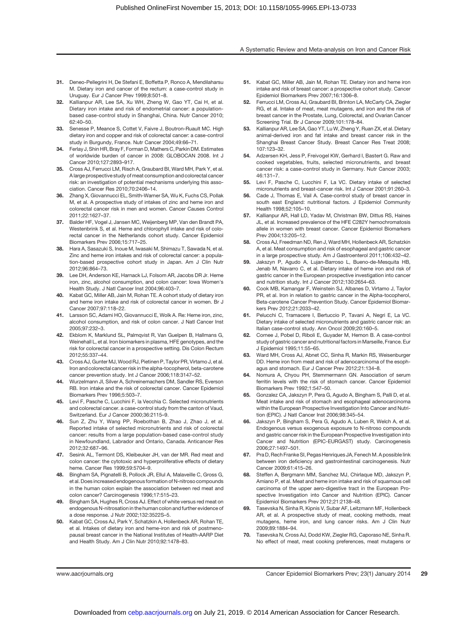- 31. Deneo-Pellegrini H, De Stefani E, Boffetta P, Ronco A, Mendilaharsu M. Dietary iron and cancer of the rectum: a case-control study in Uruguay. Eur J Cancer Prev 1999;8:501–8.
- 32. Kallianpur AR, Lee SA, Xu WH, Zheng W, Gao YT, Cai H, et al. Dietary iron intake and risk of endometrial cancer: a populationbased case-control study in Shanghai, China. Nutr Cancer 2010; 62:40–50.
- 33. Senesse P, Meance S, Cottet V, Faivre J, Boutron-Ruault MC. High dietary iron and copper and risk of colorectal cancer: a case-control study in Burgundy, France. Nutr Cancer 2004;49:66–71.
- 34. Ferlay J, Shin HR, Bray F, Forman D, Mathers C, Parkin DM. Estimates of worldwide burden of cancer in 2008: GLOBOCAN 2008. Int J Cancer 2010;127:2893–917.
- 35. Cross AJ, Ferrucci LM, Risch A, Graubard BI, Ward MH, Park Y, et al. A large prospective study of meat consumption and colorectal cancer risk: an investigation of potential mechanisms underlying this association. Cancer Res 2010;70:2406–14.
- 36. Zhang X, Giovannucci EL, Smith-Warner SA, Wu K, Fuchs CS, Pollak M, et al. A prospective study of intakes of zinc and heme iron and colorectal cancer risk in men and women. Cancer Causes Control 2011;22:1627–37.
- 37. Balder HF, Vogel J, Jansen MC, Weijenberg MP, Van den Brandt PA, Westenbrink S, et al. Heme and chlorophyll intake and risk of colorectal cancer in the Netherlands cohort study. Cancer Epidemiol Biomarkers Prev 2006;15:717–25.
- 38. Hara A, Sasazuki S, Inoue M, Iwasaki M, Shimazu T, Sawada N, et al. Zinc and heme iron intakes and risk of colorectal cancer: a population-based prospective cohort study in Japan. Am J Clin Nutr 2012;96:864–73.
- 39. Lee DH, Anderson KE, Harnack LJ, Folsom AR, Jacobs DR Jr. Heme iron, zinc, alcohol consumption, and colon cancer: Iowa Women's Health Study. J Natl Cancer Inst 2004;96:403–7.
- 40. Kabat GC, Miller AB, Jain M, Rohan TE. A cohort study of dietary iron and heme iron intake and risk of colorectal cancer in women. Br J Cancer 2007;97:118–22.
- 41. Larsson SC, Adami HO, Giovannucci E, Wolk A. Re: Heme iron, zinc, alcohol consumption, and risk of colon cancer. J Natl Cancer Inst 2005;97:232–3.
- 42. Ekblom K, Marklund SL, Palmqvist R, Van Guelpen B, Hallmans G, Weinehall L, et al. Iron biomarkers in plasma, HFE genotypes, and the risk for colorectal cancer in a prospective setting. Dis Colon Rectum 2012;55:337–44.
- 43. Cross AJ, Gunter MJ, Wood RJ, Pietinen P, Taylor PR, Virtamo J, et al. Iron and colorectal cancer risk in the alpha-tocopherol, beta-carotene cancer prevention study. Int J Cancer 2006;118:3147–52.
- 44. Wurzelmann Jl, Silver A, Schreinemachers DM, Sandler RS, Everson RB. Iron intake and the risk of colorectal cancer. Cancer Epidemiol Biomarkers Prev 1996;5:503–7.
- 45. Levi F, Pasche C, Lucchini F, la Vecchia C. Selected micronutrients and colorectal cancer. a case-control study from the canton of Vaud, Switzerland. Eur J Cancer 2000;36:2115–9.
- Sun Z, Zhu Y, Wang PP, Roebothan B, Zhao J, Zhao J, et al. Reported intake of selected micronutrients and risk of colorectal cancer: results from a large population-based case-control study in Newfoundland, Labrador and Ontario, Canada. Anticancer Res 2012;32:687–96.
- 47. Sesink AL, Termont DS, Kleibeuker JH, van der MR. Red meat and colon cancer: the cytotoxic and hyperproliferative effects of dietary heme. Cancer Res 1999;59:5704–9.
- 48. Bingham SA, Pignatelli B, Pollock JR, Ellul A, Malaveille C, Gross G, et al. Does increased endogenous formation of N-nitroso compounds in the human colon explain the association between red meat and colon cancer? Carcinogenesis 1996;17:515–23.
- 49. Bingham SA, Hughes R, Cross AJ. Effect of white versus red meat on endogenous N-nitrosation in the human colon and further evidence of a dose response. J Nutr 2002;132:3522S–5.
- 50. Kabat GC, Cross AJ, Park Y, Schatzkin A, Hollenbeck AR, Rohan TE, et al. Intakes of dietary iron and heme-iron and risk of postmenopausal breast cancer in the National Institutes of Health-AARP Diet and Health Study. Am J Clin Nutr 2010;92:1478–83.
- 51. Kabat GC, Miller AB, Jain M, Rohan TE. Dietary iron and heme iron intake and risk of breast cancer: a prospective cohort study. Cancer Epidemiol Biomarkers Prev 2007;16:1306–8.
- 52. Ferrucci LM, Cross AJ, Graubard BI, Brinton LA, McCarty CA, Ziegler RG, et al. Intake of meat, meat mutagens, and iron and the risk of breast cancer in the Prostate, Lung, Colorectal, and Ovarian Cancer Screening Trial. Br J Cancer 2009;101:178–84.
- 53. Kallianpur AR, Lee SA, Gao YT, Lu W, Zheng Y, Ruan ZX, et al. Dietary animal-derived iron and fat intake and breast cancer risk in the Shanghai Breast Cancer Study. Breast Cancer Res Treat 2008; 107:123–32.
- 54. Adzersen KH, Jess P, Freivogel KW, Gerhard I, Bastert G. Raw and cooked vegetables, fruits, selected micronutrients, and breast cancer risk: a case-control study in Germany. Nutr Cancer 2003; 46:131–7.
- 55. Levi F, Pasche C, Lucchini F, La VC. Dietary intake of selected micronutrients and breast-cancer risk. Int J Cancer 2001;91:260–3.
- 56. Cade J, Thomas E, Vail A. Case-control study of breast cancer in south east England: nutritional factors. J Epidemiol Community Health 1998;52:105–10.
- 57. Kallianpur AR, Hall LD, Yadav M, Christman BW, Dittus RS, Haines JL, et al. Increased prevalence of the HFE C282Y hemochromatosis allele in women with breast cancer. Cancer Epidemiol Biomarkers Prev 2004;13:205–12.
- 58. Cross AJ, Freedman ND, Ren J, Ward MH, Hollenbeck AR, Schatzkin A, et al. Meat consumption and risk of esophageal and gastric cancer in a large prospective study. Am J Gastroenterol 2011;106:432–42.
- 59. Jakszyn P, Agudo A, Lujan-Barroso L, Bueno-de-Mesquita HB, Jenab M, Navarro C, et al. Dietary intake of heme iron and risk of gastric cancer in the European prospective investigation into cancer and nutrition study. Int J Cancer 2012;130:2654–63.
- 60. Cook MB, Kamangar F, Weinstein SJ, Albanes D, Virtamo J, Taylor PR, et al. Iron in relation to gastric cancer in the Alpha-tocopherol, Beta-carotene Cancer Prevention Study. Cancer Epidemiol Biomarkers Prev 2012;21:2033–42.
- 61. Pelucchi C, Tramacere I, Bertuccio P, Tavani A, Negri E, La VC. Dietary intake of selected micronutrients and gastric cancer risk: an Italian case-control study. Ann Oncol 2009;20:160–5.
- 62. Cornee J, Pobel D, Riboli E, Guyader M, Hemon B. A case-control study of gastric cancer and nutritional factors in Marseille, France. Eur J Epidemiol 1995;11:55–65.
- 63. Ward MH, Cross AJ, Abnet CC, Sinha R, Markin RS, Weisenburger DD. Heme iron from meat and risk of adenocarcinoma of the esophagus and stomach. Eur J Cancer Prev 2012;21:134–8.
- 64. Nomura A, Chyou PH, Stemmermann GN. Association of serum ferritin levels with the risk of stomach cancer. Cancer Epidemiol Biomarkers Prev 1992;1:547–50.
- 65. Gonzalez CA, Jakszyn P, Pera G, Agudo A, Bingham S, Palli D, et al. Meat intake and risk of stomach and esophageal adenocarcinoma within the European Prospective Investigation Into Cancer and Nutrition (EPIC). J Natl Cancer Inst 2006;98:345–54.
- Jakszyn P, Bingham S, Pera G, Agudo A, Luben R, Welch A, et al. Endogenous versus exogenous exposure to N-nitroso compounds and gastric cancer risk in the European Prospective Investigation into Cancer and Nutrition (EPIC-EURGAST) study. Carcinogenesis 2006;27:1497–501.
- 67. Pra D, Rech Franke SI, Pegas Henriques JA, Fenech M. A possible link between iron deficiency and gastrointestinal carcinogenesis. Nutr Cancer 2009;61:415–26.
- 68. Steffen A, Bergmann MM, Sanchez MJ, Chirlaque MD, Jakszyn P, Amiano P, et al. Meat and heme iron intake and risk of squamous cell carcinoma of the upper aero-digestive tract in the European Prospective Investigation into Cancer and Nutrition (EPIC). Cancer Epidemiol Biomarkers Prev 2012;21:2138–48.
- Tasevska N, Sinha R, Kipnis V, Subar AF, Leitzmann MF, Hollenbeck AR, et al. A prospective study of meat, cooking methods, meat mutagens, heme iron, and lung cancer risks. Am J Clin Nutr 2009;89:1884–94.
- 70. Tasevska N, Cross AJ, Dodd KW, Ziegler RG, Caporaso NE, Sinha R. No effect of meat, meat cooking preferences, meat mutagens or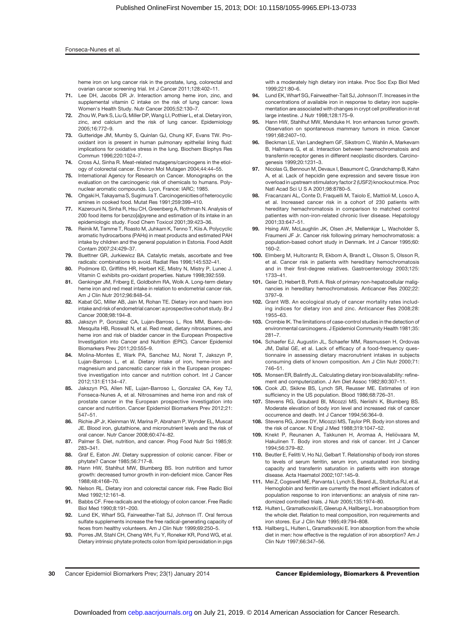#### Fonseca-Nunes et al.

heme iron on lung cancer risk in the prostate, lung, colorectal and ovarian cancer screening trial. Int J Cancer 2011;128:402–11.

- 71. Lee DH, Jacobs DR Jr. Interaction among heme iron, zinc, and supplemental vitamin C intake on the risk of lung cancer: lowa Women's Health Study. Nutr Cancer 2005;52:130–7.
- 72. Zhou W, Park S, Liu G, Miller DP, Wang LI, Pothier L, et al. Dietary iron, zinc, and calcium and the risk of lung cancer. Epidemiology 2005;16:772–9.
- 73. Gutteridge JM, Mumby S, Quinlan GJ, Chung KF, Evans TW. Prooxidant iron is present in human pulmonary epithelial lining fluid: implications for oxidative stress in the lung. Biochem Biophys Res Commun 1996;220:1024–7.
- 74. Cross AJ, Sinha R. Meat-related mutagens/carcinogens in the etiology of colorectal cancer. Environ Mol Mutagen 2004;44:44–55.
- 75. International Agency for Research on Cancer. Monographs on the evaluation on the carcinogenic risk of chemicals to humans. Polynuclear aromatic compounds. Lyon, France: IARC; 1985.
- 76. Ohgaki H, Takayama S, Sugimura T. Carcinogenicities of heterocyclic amines in cooked food. Mutat Res 1991;259:399–410.
- 77. Kazerouni N, Sinha R, Hsu CH, Greenberg A, Rothman N. Analysis of 200 food items for benzo[a]pyrene and estimation of its intake in an epidemiologic study. Food Chem Toxicol 2001;39:423–36.
- 78. Reinik M, Tamme T, Roasto M, Juhkam K, Tenno T, Kiis A. Polycyclic aromatic hydrocarbons (PAHs) in meat products and estimated PAH intake by children and the general population in Estonia. Food Addit Contam 2007;24:429–37.
- 79. Buettner GR, Jurkiewicz BA. Catalytic metals, ascorbate and free radicals: combinations to avoid. Radiat Res 1996;145:532–41.
- 80. Podmore ID, Griffiths HR, Herbert KE, Mistry N, Mistry P, Lunec J, Vitamin C exhibits pro-oxidant properties. Nature 1998;392:559.
- 81. Genkinger JM, Friberg E, Goldbohm RA, Wolk A. Long-term dietary heme iron and red meat intake in relation to endometrial cancer risk. Am J Clin Nutr 2012;96:848–54.
- 82. Kabat GC, Miller AB, Jain M, Rohan TE, Dietary iron and haem iron intake and risk of endometrial cancer: a prospective cohort study. Br J Cancer 2008;98:194–8.
- 83. Jakszyn P, Gonzalez CA, Lujan-Barroso L, Ros MM, Bueno-de-Mesquita HB, Roswall N, et al. Red meat, dietary nitrosamines, and heme iron and risk of bladder cancer in the European Prospective Investigation into Cancer and Nutrition (EPIC). Cancer Epidemiol Biomarkers Prev 2011;20:555–9.
- 84. Molina-Montes E, Wark PA, Sanchez MJ, Norat T, Jakszyn P, Lujan-Barroso L, et al. Dietary intake of iron, heme-iron and magnesium and pancreatic cancer risk in the European prospective investigation into cancer and nutrition cohort. Int J Cancer 2012;131:E1134–47.
- 85. Jakszyn PG, Allen NE, Lujan-Barroso L, Gonzalez CA, Key TJ, Fonseca-Nunes A, et al. Nitrosamines and heme iron and risk of prostate cancer in the European prospective investigation into cancer and nutrition. Cancer Epidemiol Biomarkers Prev 2012;21: 547–51.
- 86. Richie JP Jr, Kleinman W, Marina P, Abraham P, Wynder EL, Muscat JE. Blood iron, glutathione, and micronutrient levels and the risk of oral cancer. Nutr Cancer 2008;60:474–82.
- 87. Palmer S. Diet, nutrition, and cancer. Prog Food Nutr Sci 1985;9: 283–341.
- 88. Graf E, Eaton JW. Dietary suppression of colonic cancer. Fiber or phytate? Cancer 1985;56:717–8.
- 89. Hann HW, Stahlhut MW, Blumberg BS. Iron nutrition and tumor growth: decreased tumor growth in iron-deficient mice. Cancer Res 1988;48:4168–70.
- 90. Nelson RL. Dietary iron and colorectal cancer risk. Free Radic Biol Med 1992;12:161–8.
- 91. Babbs CF. Free radicals and the etiology of colon cancer. Free Radic Biol Med 1990;8:191–200.
- Lund EK, Wharf SG, Fairweather-Tait SJ, Johnson IT. Oral ferrous sulfate supplements increase the free radical-generating capacity of feces from healthy volunteers. Am J Clin Nutr 1999;69:250–5.
- 93. Porres JM, Stahl CH, Cheng WH, Fu Y, Roneker KR, Pond WG, et al. Dietary intrinsic phytate protects colon from lipid peroxidation in pigs

with a moderately high dietary iron intake. Proc Soc Exp Biol Med 1999;221:80–6.

- 94. Lund EK, Wharf SG, Fairweather-Tait SJ, Johnson IT. Increases in the concentrations of available iron in response to dietary iron supplementation are associated with changes in crypt cell proliferation in rat large intestine. J Nutr 1998;128:175–9.
- 95. Hann HW, Stahlhut MW, Menduke H. Iron enhances tumor growth. Observation on spontaneous mammary tumors in mice. Cancer 1991;68:2407–10.
- 96. Beckman LE, Van Landeghem GF, Sikstrom C, Wahlin A, Markevarn B, Hallmans G, et al. Interaction between haemochromatosis and transferrin receptor genes in different neoplastic disorders. Carcinogenesis 1999;20:1231–3.
- 97. Nicolas G, Bennoun M, Devaux I, Beaumont C, Grandchamp B, Kahn A, et al. Lack of hepcidin gene expression and severe tissue iron overload in upstream stimulatory factor 2 (USF2) knockout mice. Proc Natl Acad Sci U S A 2001;98:8780–5.
- 98. Fracanzani AL, Conte D, Fraquelli M, Taiolo E, Mattioli M, Losco A, et al. Increased cancer risk in a cohort of 230 patients with hereditary hemachromatosis in comparison to matched control patientes with non-iron-related chronic liver disease. Hepatology 2001;33:647–51.
- 99. Hsing AW, McLaughlin JK, Olsen JH, Mellemkjar L, Wacholder S, Fraumeni JF Jr. Cancer risk following primary hemochromatosis: a population-based cohort study in Denmark. Int J Cancer 1995;60: 160–2.
- 100. Elmberg M, Hultcrantz R, Ekbom A, Brandt L, Olsson S, Olsson R, et al. Cancer risk in patients with hereditary hemochromatosis and in their first-degree relatives. Gastroenterology 2003;125: 1733–41.
- 101. Geier D, Hebert B, Potti A. Risk of primary non-hepatocellular malignancies in hereditary hemochromatosis. Anticancer Res 2002;22: 3797–9.
- 102. Grant WB. An ecological study of cancer mortality rates including indices for dietary iron and zinc. Anticancer Res 2008;28: 1955–63.
- 103. Crombie IK. The limitations of case-control studies in the detection of environmental carcinogens. J Epidemiol Community Health 1981;35: 281–7.
- 104. Schaefer EJ, Augustin JL, Schaefer MM, Rasmussen H, Ordovas JM, Dallal GE, et al. Lack of efficacy of a food-frequency questionnaire in assessing dietary macronutrient intakes in subjects consuming diets of known composition. Am J Clin Nutr 2000;71: 746–51.
- 105. Monsen ER, Balintfy JL. Calculating dietary iron bioavailability: refinement and computerization. J Am Diet Assoc 1982;80:307–11.
- 106. Cook JD, Skikne BS, Lynch SR, Reusser ME. Estimates of iron sufficiency in the US population. Blood 1986;68:726–31.
- 107. Stevens RG, Graubard BI, Micozzi MS, Neriishi K, Blumberg BS. Moderate elevation of body iron level and increased risk of cancer occurrence and death. Int J Cancer 1994;56:364–9.
- 108. Stevens RG, Jones DY, Micozzi MS, Taylor PR. Body iron stores and the risk of cancer. N Engl J Med 1988;319:1047–52.
- 109. Knekt P, Reunanen A, Takkunen H, Aromaa A. Heliövaara M. Hakulinen T. Body iron stores and risk of cancer. Int J Cancer 1994;56:379–82.
- 110. Beutler E, Felitti V, Ho NJ, Gelbart T. Relationship of body iron stores to levels of serum ferritin, serum iron, unsaturated iron binding capacity and transferrin saturation in patients with iron storage disease. Acta Haematol 2002;107:145–9.
- 111. Mei Z, Cogswell ME, Parvanta I, Lynch S, Beard JL, Stoltzfus RJ, et al. Hemoglobin and ferritin are currently the most efficient indicators of population response to iron interventions: an analysis of nine randomized controlled trials. J Nutr 2005;135:1974–80.
- 112. Hulten L, Gramatkovski E, Gleerup A, Hallberg L. Iron absorption from the whole diet. Relation to meal composition, iron requirements and iron stores. Eur J Clin Nutr 1995;49:794–808.
- 113. Hallberg L, Hulten L, Gramatkovski E. Iron absorption from the whole diet in men: how effective is the regulation of iron absorption? Am J Clin Nutr 1997;66:347–56.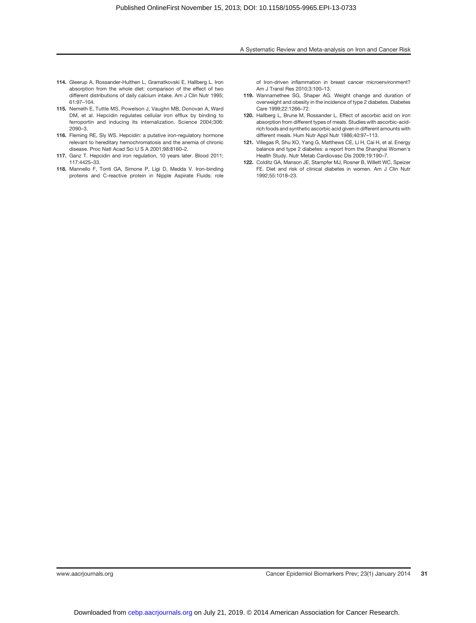- 114. Gleerup A, Rossander-Hulthen L, Gramatkovski E, Hallberg L. Iron absorption from the whole diet: comparison of the effect of two different distributions of daily calcium intake. Am J Clin Nutr 1995; 61:97–104.
- 115. Nemeth E, Tuttle MS, Powelson J, Vaughn MB, Donovan A, Ward DM, et al. Hepcidin regulates cellular iron efflux by binding to ferroportin and inducing its internalization. Science 2004;306: 2090–3.
- 116. Fleming RE, Sly WS. Hepcidin: a putative iron-regulatory hormone relevant to hereditary hemochromatosis and the anemia of chronic disease. Proc Natl Acad Sci U S A 2001;98:8160–2.
- 117. Ganz T. Hepcidin and iron regulation, 10 years later. Blood 2011; 117:4425–33.
- 118. Mannello F, Tonti GA, Simone P, Ligi D, Medda V. Iron-binding proteins and C-reactive protein in Nipple Aspirate Fluids: role

of Iron-driven inflammation in breast cancer microenvironment? Am J Transl Res 2010;3:100–13.

- 119. Wannamethee SG, Shaper AG. Weight change and duration of overweight and obesity in the incidence of type 2 diabetes. Diabetes Care 1999;22:1266–72.
- 120. Hallberg L, Brune M, Rossander L. Effect of ascorbic acid on iron absorption from different types of meals. Studies with ascorbic-acidrich foods and synthetic ascorbic acid given in different amounts with different meals. Hum Nutr Appl Nutr 1986;40:97–113.
- 121. Villegas R, Shu XO, Yang G, Matthews CE, Li H, Cai H, et al. Energy balance and type 2 diabetes: a report from the Shanghai Women's Health Study. Nutr Metab Cardiovasc Dis 2009;19:190–7.
- 122. Colditz GA, Manson JE, Stampfer MJ, Rosner B, Willett WC, Speizer FE. Diet and risk of clinical diabetes in women. Am J Clin Nutr 1992;55:1018–23.